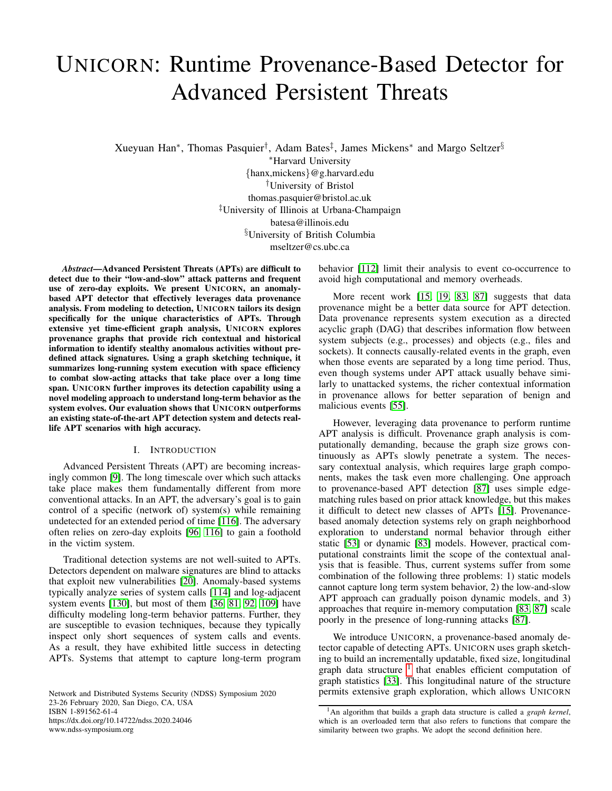# UNICORN: Runtime Provenance-Based Detector for Advanced Persistent Threats

Xueyuan Han<sup>∗</sup> , Thomas Pasquier† , Adam Bates‡ , James Mickens<sup>∗</sup> and Margo Seltzer§

<sup>∗</sup>Harvard University {hanx,mickens}@g.harvard.edu †University of Bristol thomas.pasquier@bristol.ac.uk ‡University of Illinois at Urbana-Champaign batesa@illinois.edu §University of British Columbia mseltzer@cs.ubc.ca

*Abstract*—Advanced Persistent Threats (APTs) are difficult to detect due to their "low-and-slow" attack patterns and frequent use of zero-day exploits. We present UNICORN, an anomalybased APT detector that effectively leverages data provenance analysis. From modeling to detection, UNICORN tailors its design specifically for the unique characteristics of APTs. Through extensive yet time-efficient graph analysis, UNICORN explores provenance graphs that provide rich contextual and historical information to identify stealthy anomalous activities without predefined attack signatures. Using a graph sketching technique, it summarizes long-running system execution with space efficiency to combat slow-acting attacks that take place over a long time span. UNICORN further improves its detection capability using a novel modeling approach to understand long-term behavior as the system evolves. Our evaluation shows that UNICORN outperforms an existing state-of-the-art APT detection system and detects reallife APT scenarios with high accuracy.

## I. INTRODUCTION

Advanced Persistent Threats (APT) are becoming increasingly common [\[9\]](#page-14-0). The long timescale over which such attacks take place makes them fundamentally different from more conventional attacks. In an APT, the adversary's goal is to gain control of a specific (network of) system(s) while remaining undetected for an extended period of time [\[116\]](#page-16-0). The adversary often relies on zero-day exploits [\[96,](#page-16-1) [116\]](#page-16-0) to gain a foothold in the victim system.

Traditional detection systems are not well-suited to APTs. Detectors dependent on malware signatures are blind to attacks that exploit new vulnerabilities [\[20\]](#page-14-1). Anomaly-based systems typically analyze series of system calls [\[114\]](#page-16-2) and log-adjacent system events [\[130\]](#page-16-3), but most of them [\[36,](#page-14-2) [81,](#page-15-0) [92,](#page-16-4) [109\]](#page-16-5) have difficulty modeling long-term behavior patterns. Further, they are susceptible to evasion techniques, because they typically inspect only short sequences of system calls and events. As a result, they have exhibited little success in detecting APTs. Systems that attempt to capture long-term program

Network and Distributed Systems Security (NDSS) Symposium 2020 23-26 February 2020, San Diego, CA, USA ISBN 1-891562-61-4 https://dx.doi.org/10.14722/ndss.2020.24046 www.ndss-symposium.org

behavior [\[112\]](#page-16-6) limit their analysis to event co-occurrence to avoid high computational and memory overheads.

More recent work [\[15,](#page-14-3) [19,](#page-14-4) [83,](#page-15-1) [87\]](#page-15-2) suggests that data provenance might be a better data source for APT detection. Data provenance represents system execution as a directed acyclic graph (DAG) that describes information flow between system subjects (e.g., processes) and objects (e.g., files and sockets). It connects causally-related events in the graph, even when those events are separated by a long time period. Thus, even though systems under APT attack usually behave similarly to unattacked systems, the richer contextual information in provenance allows for better separation of benign and malicious events [\[55\]](#page-15-3).

However, leveraging data provenance to perform runtime APT analysis is difficult. Provenance graph analysis is computationally demanding, because the graph size grows continuously as APTs slowly penetrate a system. The necessary contextual analysis, which requires large graph components, makes the task even more challenging. One approach to provenance-based APT detection [\[87\]](#page-15-2) uses simple edgematching rules based on prior attack knowledge, but this makes it difficult to detect new classes of APTs [\[15\]](#page-14-3). Provenancebased anomaly detection systems rely on graph neighborhood exploration to understand normal behavior through either static [\[53\]](#page-15-4) or dynamic [\[83\]](#page-15-1) models. However, practical computational constraints limit the scope of the contextual analysis that is feasible. Thus, current systems suffer from some combination of the following three problems: 1) static models cannot capture long term system behavior, 2) the low-and-slow APT approach can gradually poison dynamic models, and 3) approaches that require in-memory computation [\[83,](#page-15-1) [87\]](#page-15-2) scale poorly in the presence of long-running attacks [\[87\]](#page-15-2).

We introduce UNICORN, a provenance-based anomaly detector capable of detecting APTs. UNICORN uses graph sketching to build an incrementally updatable, fixed size, longitudinal graph data structure  $1$  that enables efficient computation of graph statistics [\[33\]](#page-14-5). This longitudinal nature of the structure permits extensive graph exploration, which allows UNICORN

<span id="page-0-0"></span><sup>1</sup>An algorithm that builds a graph data structure is called a *graph kernel*, which is an overloaded term that also refers to functions that compare the similarity between two graphs. We adopt the second definition here.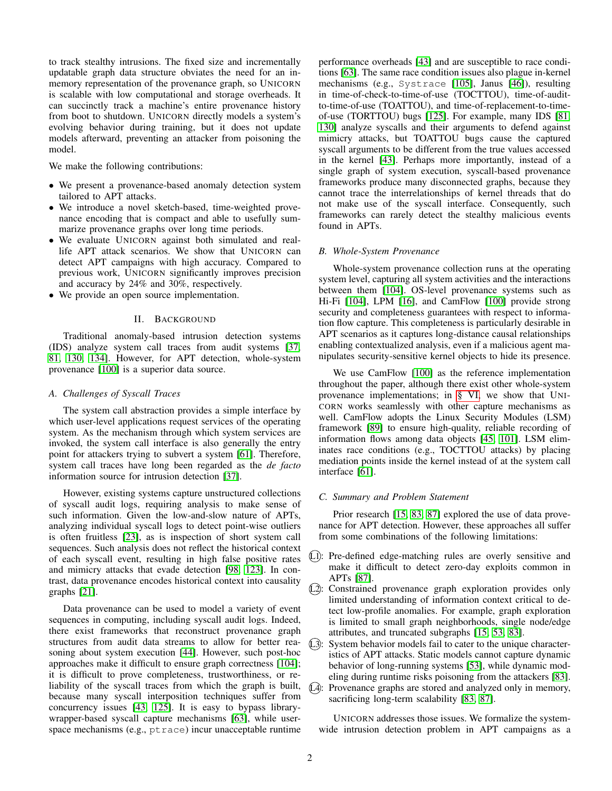to track stealthy intrusions. The fixed size and incrementally updatable graph data structure obviates the need for an inmemory representation of the provenance graph, so UNICORN is scalable with low computational and storage overheads. It can succinctly track a machine's entire provenance history from boot to shutdown. UNICORN directly models a system's evolving behavior during training, but it does not update models afterward, preventing an attacker from poisoning the model.

We make the following contributions:

- We present a provenance-based anomaly detection system tailored to APT attacks.
- We introduce a novel sketch-based, time-weighted provenance encoding that is compact and able to usefully summarize provenance graphs over long time periods.
- We evaluate UNICORN against both simulated and reallife APT attack scenarios. We show that UNICORN can detect APT campaigns with high accuracy. Compared to previous work, UNICORN significantly improves precision and accuracy by 24% and 30%, respectively.
- We provide an open source implementation.

## II. BACKGROUND

Traditional anomaly-based intrusion detection systems (IDS) analyze system call traces from audit systems [\[37,](#page-14-6) [81,](#page-15-0) [130,](#page-16-3) [134\]](#page-16-7). However, for APT detection, whole-system provenance [\[100\]](#page-16-8) is a superior data source.

## <span id="page-1-0"></span>*A. Challenges of Syscall Traces*

The system call abstraction provides a simple interface by which user-level applications request services of the operating system. As the mechanism through which system services are invoked, the system call interface is also generally the entry point for attackers trying to subvert a system [\[61\]](#page-15-5). Therefore, system call traces have long been regarded as the *de facto* information source for intrusion detection [\[37\]](#page-14-6).

However, existing systems capture unstructured collections of syscall audit logs, requiring analysis to make sense of such information. Given the low-and-slow nature of APTs, analyzing individual syscall logs to detect point-wise outliers is often fruitless [\[23\]](#page-14-7), as is inspection of short system call sequences. Such analysis does not reflect the historical context of each syscall event, resulting in high false positive rates and mimicry attacks that evade detection [\[98,](#page-16-9) [123\]](#page-16-10). In contrast, data provenance encodes historical context into causality graphs [\[21\]](#page-14-8).

Data provenance can be used to model a variety of event sequences in computing, including syscall audit logs. Indeed, there exist frameworks that reconstruct provenance graph structures from audit data streams to allow for better reasoning about system execution [\[44\]](#page-15-6). However, such post-hoc approaches make it difficult to ensure graph correctness [\[104\]](#page-16-11); it is difficult to prove completeness, trustworthiness, or reliability of the syscall traces from which the graph is built, because many syscall interposition techniques suffer from concurrency issues [\[43,](#page-15-7) [125\]](#page-16-12). It is easy to bypass librarywrapper-based syscall capture mechanisms [\[63\]](#page-15-8), while userspace mechanisms (e.g., ptrace) incur unacceptable runtime performance overheads [\[43\]](#page-15-7) and are susceptible to race conditions [\[63\]](#page-15-8). The same race condition issues also plague in-kernel mechanisms (e.g., Systrace [\[105\]](#page-16-13), Janus [\[46\]](#page-15-9)), resulting in time-of-check-to-time-of-use (TOCTTOU), time-of-auditto-time-of-use (TOATTOU), and time-of-replacement-to-timeof-use (TORTTOU) bugs [\[125\]](#page-16-12). For example, many IDS [\[81,](#page-15-0) [130\]](#page-16-3) analyze syscalls and their arguments to defend against mimicry attacks, but TOATTOU bugs cause the captured syscall arguments to be different from the true values accessed in the kernel [\[43\]](#page-15-7). Perhaps more importantly, instead of a single graph of system execution, syscall-based provenance frameworks produce many disconnected graphs, because they cannot trace the interrelationships of kernel threads that do not make use of the syscall interface. Consequently, such frameworks can rarely detect the stealthy malicious events found in APTs.

## *B. Whole-System Provenance*

Whole-system provenance collection runs at the operating system level, capturing all system activities and the interactions between them [\[104\]](#page-16-11). OS-level provenance systems such as Hi-Fi [\[104\]](#page-16-11), LPM [\[16\]](#page-14-9), and CamFlow [\[100\]](#page-16-8) provide strong security and completeness guarantees with respect to information flow capture. This completeness is particularly desirable in APT scenarios as it captures long-distance causal relationships enabling contextualized analysis, even if a malicious agent manipulates security-sensitive kernel objects to hide its presence.

We use CamFlow [\[100\]](#page-16-8) as the reference implementation throughout the paper, although there exist other whole-system provenance implementations; in [§ VI,](#page-6-0) we show that UNI-CORN works seamlessly with other capture mechanisms as well. CamFlow adopts the Linux Security Modules (LSM) framework [\[89\]](#page-16-14) to ensure high-quality, reliable recording of information flows among data objects [\[45,](#page-15-10) [101\]](#page-16-15). LSM eliminates race conditions (e.g., TOCTTOU attacks) by placing mediation points inside the kernel instead of at the system call interface [\[61\]](#page-15-5).

# *C. Summary and Problem Statement*

Prior research [\[15,](#page-14-3) [83,](#page-15-1) [87\]](#page-15-2) explored the use of data provenance for APT detection. However, these approaches all suffer from some combinations of the following limitations:

- L1: Pre-defined edge-matching rules are overly sensitive and make it difficult to detect zero-day exploits common in APTs [\[87\]](#page-15-2).
- L2: Constrained provenance graph exploration provides only limited understanding of information context critical to detect low-profile anomalies. For example, graph exploration is limited to small graph neighborhoods, single node/edge attributes, and truncated subgraphs [\[15,](#page-14-3) [53,](#page-15-4) [83\]](#page-15-1).
- L3: System behavior models fail to cater to the unique characteristics of APT attacks. Static models cannot capture dynamic behavior of long-running systems [\[53\]](#page-15-4), while dynamic modeling during runtime risks poisoning from the attackers [\[83\]](#page-15-1). L4: Provenance graphs are stored and analyzed only in memory, sacrificing long-term scalability [\[83,](#page-15-1) [87\]](#page-15-2).

UNICORN addresses those issues. We formalize the systemwide intrusion detection problem in APT campaigns as a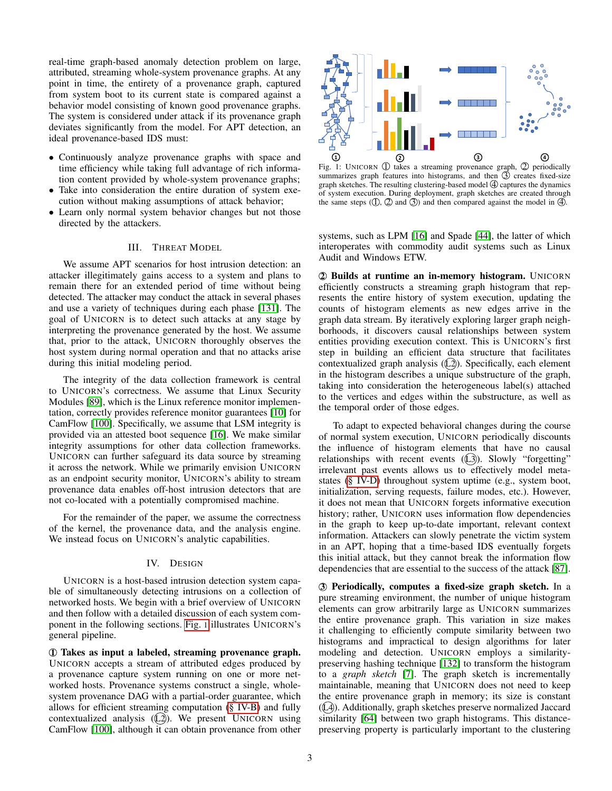real-time graph-based anomaly detection problem on large, attributed, streaming whole-system provenance graphs. At any point in time, the entirety of a provenance graph, captured from system boot to its current state is compared against a behavior model consisting of known good provenance graphs. The system is considered under attack if its provenance graph deviates significantly from the model. For APT detection, an ideal provenance-based IDS must:

- Continuously analyze provenance graphs with space and time efficiency while taking full advantage of rich information content provided by whole-system provenance graphs;
- Take into consideration the entire duration of system execution without making assumptions of attack behavior;
- Learn only normal system behavior changes but not those directed by the attackers.

## III. THREAT MODEL

<span id="page-2-1"></span>We assume APT scenarios for host intrusion detection: an attacker illegitimately gains access to a system and plans to remain there for an extended period of time without being detected. The attacker may conduct the attack in several phases and use a variety of techniques during each phase [\[131\]](#page-16-16). The goal of UNICORN is to detect such attacks at any stage by interpreting the provenance generated by the host. We assume that, prior to the attack, UNICORN thoroughly observes the host system during normal operation and that no attacks arise during this initial modeling period.

The integrity of the data collection framework is central to UNICORN's correctness. We assume that Linux Security Modules [\[89\]](#page-16-14), which is the Linux reference monitor implementation, correctly provides reference monitor guarantees [\[10\]](#page-14-10) for CamFlow [\[100\]](#page-16-8). Specifically, we assume that LSM integrity is provided via an attested boot sequence [\[16\]](#page-14-9). We make similar integrity assumptions for other data collection frameworks. UNICORN can further safeguard its data source by streaming it across the network. While we primarily envision UNICORN as an endpoint security monitor, UNICORN's ability to stream provenance data enables off-host intrusion detectors that are not co-located with a potentially compromised machine.

For the remainder of the paper, we assume the correctness of the kernel, the provenance data, and the analysis engine. We instead focus on UNICORN's analytic capabilities.

#### IV. DESIGN

UNICORN is a host-based intrusion detection system capable of simultaneously detecting intrusions on a collection of networked hosts. We begin with a brief overview of UNICORN and then follow with a detailed discussion of each system component in the following sections. [Fig.](#page-2-0) 1 illustrates UNICORN's general pipeline.

1 Takes as input a labeled, streaming provenance graph. UNICORN accepts a stream of attributed edges produced by a provenance capture system running on one or more networked hosts. Provenance systems construct a single, wholesystem provenance DAG with a partial-order guarantee, which allows for efficient streaming computation [\(§ IV-B\)](#page-3-0) and fully contextualized analysis  $(2)$ ). We present UNICORN using CamFlow [\[100\]](#page-16-8), although it can obtain provenance from other

<span id="page-2-0"></span>

Fig. 1: UNICORN  $\textcircled{1}$  takes a streaming provenance graph,  $\textcircled{2}$  periodically summarizes graph features into histograms, and then  $\circled{3}$  creates fixed-size graph sketches. The resulting clustering-based model  $\Phi$  captures the dynamics of system execution. During deployment, graph sketches are created through the same steps  $( \mathbb{D}, \mathbb{D})$  and  $( \mathbb{D})$  and then compared against the model in  $( \mathbb{D})$ .

systems, such as LPM [\[16\]](#page-14-9) and Spade [\[44\]](#page-15-6), the latter of which interoperates with commodity audit systems such as Linux Audit and Windows ETW.

2 Builds at runtime an in-memory histogram. UNICORN efficiently constructs a streaming graph histogram that represents the entire history of system execution, updating the counts of histogram elements as new edges arrive in the graph data stream. By iteratively exploring larger graph neighborhoods, it discovers causal relationships between system entities providing execution context. This is UNICORN's first step in building an efficient data structure that facilitates contextualized graph analysis  $(\angle 2)$ . Specifically, each element in the histogram describes a unique substructure of the graph, taking into consideration the heterogeneous label(s) attached to the vertices and edges within the substructure, as well as the temporal order of those edges.

To adapt to expected behavioral changes during the course of normal system execution, UNICORN periodically discounts the influence of histogram elements that have no causal relationships with recent events  $((\!\!L\!3\!\!)).$  Slowly "forgetting" irrelevant past events allows us to effectively model metastates [\(§ IV-D\)](#page-5-0) throughout system uptime (e.g., system boot, initialization, serving requests, failure modes, etc.). However, it does not mean that UNICORN forgets informative execution history; rather, UNICORN uses information flow dependencies in the graph to keep up-to-date important, relevant context information. Attackers can slowly penetrate the victim system in an APT, hoping that a time-based IDS eventually forgets this initial attack, but they cannot break the information flow dependencies that are essential to the success of the attack [\[87\]](#page-15-2).

3 Periodically, computes a fixed-size graph sketch. In a pure streaming environment, the number of unique histogram elements can grow arbitrarily large as UNICORN summarizes the entire provenance graph. This variation in size makes it challenging to efficiently compute similarity between two histograms and impractical to design algorithms for later modeling and detection. UNICORN employs a similaritypreserving hashing technique [\[132\]](#page-16-17) to transform the histogram to a *graph sketch* [\[7\]](#page-14-11). The graph sketch is incrementally maintainable, meaning that UNICORN does not need to keep the entire provenance graph in memory; its size is constant (L4). Additionally, graph sketches preserve normalized Jaccard similarity [\[64\]](#page-15-11) between two graph histograms. This distancepreserving property is particularly important to the clustering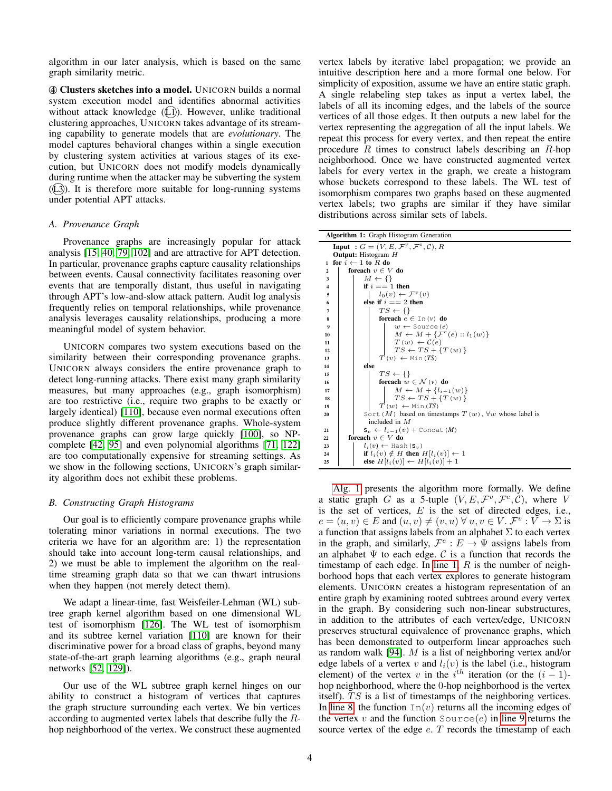algorithm in our later analysis, which is based on the same graph similarity metric.

4 Clusters sketches into a model. UNICORN builds a normal system execution model and identifies abnormal activities without attack knowledge ((L1)). However, unlike traditional clustering approaches, UNICORN takes advantage of its streaming capability to generate models that are *evolutionary*. The model captures behavioral changes within a single execution by clustering system activities at various stages of its execution, but UNICORN does not modify models dynamically during runtime when the attacker may be subverting the system  $(1, 2)$ ). It is therefore more suitable for long-running systems under potential APT attacks.

## *A. Provenance Graph*

Provenance graphs are increasingly popular for attack analysis [\[15,](#page-14-3) [40,](#page-15-12) [79,](#page-15-13) [102\]](#page-16-18) and are attractive for APT detection. In particular, provenance graphs capture causality relationships between events. Causal connectivity facilitates reasoning over events that are temporally distant, thus useful in navigating through APT's low-and-slow attack pattern. Audit log analysis frequently relies on temporal relationships, while provenance analysis leverages causality relationships, producing a more meaningful model of system behavior.

UNICORN compares two system executions based on the similarity between their corresponding provenance graphs. UNICORN always considers the entire provenance graph to detect long-running attacks. There exist many graph similarity measures, but many approaches (e.g., graph isomorphism) are too restrictive (i.e., require two graphs to be exactly or largely identical) [\[110\]](#page-16-19), because even normal executions often produce slightly different provenance graphs. Whole-system provenance graphs can grow large quickly [\[100\]](#page-16-8), so NPcomplete [\[42,](#page-15-14) [95\]](#page-16-20) and even polynomial algorithms [\[71,](#page-15-15) [122\]](#page-16-21) are too computationally expensive for streaming settings. As we show in the following sections, UNICORN's graph similarity algorithm does not exhibit these problems.

#### <span id="page-3-0"></span>*B. Constructing Graph Histograms*

Our goal is to efficiently compare provenance graphs while tolerating minor variations in normal executions. The two criteria we have for an algorithm are: 1) the representation should take into account long-term causal relationships, and 2) we must be able to implement the algorithm on the realtime streaming graph data so that we can thwart intrusions when they happen (not merely detect them).

We adapt a linear-time, fast Weisfeiler-Lehman (WL) subtree graph kernel algorithm based on one dimensional WL test of isomorphism [\[126\]](#page-16-22). The WL test of isomorphism and its subtree kernel variation [\[110\]](#page-16-19) are known for their discriminative power for a broad class of graphs, beyond many state-of-the-art graph learning algorithms (e.g., graph neural networks [\[52,](#page-15-16) [129\]](#page-16-23)).

Our use of the WL subtree graph kernel hinges on our ability to construct a histogram of vertices that captures the graph structure surrounding each vertex. We bin vertices according to augmented vertex labels that describe fully the Rhop neighborhood of the vertex. We construct these augmented vertex labels by iterative label propagation; we provide an intuitive description here and a more formal one below. For simplicity of exposition, assume we have an entire static graph. A single relabeling step takes as input a vertex label, the labels of all its incoming edges, and the labels of the source vertices of all those edges. It then outputs a new label for the vertex representing the aggregation of all the input labels. We repeat this process for every vertex, and then repeat the entire procedure  $R$  times to construct labels describing an  $R$ -hop neighborhood. Once we have constructed augmented vertex labels for every vertex in the graph, we create a histogram whose buckets correspond to these labels. The WL test of isomorphism compares two graphs based on these augmented vertex labels; two graphs are similar if they have similar distributions across similar sets of labels.

<span id="page-3-4"></span><span id="page-3-3"></span><span id="page-3-2"></span>

|                         | Algorithm 1: Graph Histogram Generation                                                                 |
|-------------------------|---------------------------------------------------------------------------------------------------------|
|                         | <b>Input</b> : $G = (V, E, \mathcal{F}^v, \mathcal{F}^e, \mathcal{C}), R$<br><b>Output:</b> Histogram H |
| 1                       | for $i \leftarrow 1$ to R do                                                                            |
| $\mathbf{2}$            | foreach $v \in V$ do                                                                                    |
| 3                       | $M \leftarrow \{\}$                                                                                     |
| $\overline{\mathbf{4}}$ | if $i == 1$ then                                                                                        |
| 5                       | $l_0(v) \leftarrow \mathcal{F}^v(v)$                                                                    |
| 6                       | else if $i == 2$ then                                                                                   |
| 7                       | $TS \leftarrow \{\}$                                                                                    |
| 8                       | foreach $e \in \text{In}(v)$ do                                                                         |
| 9                       | $w \leftarrow$ Source $(e)$                                                                             |
| 10                      | $M \leftarrow M + \{ \mathcal{F}^e(e) :: l_1(w) \}$                                                     |
| 11                      | $T(w) \leftarrow \mathcal{C}(e)$                                                                        |
| 12                      | $TS \leftarrow TS + \{T(w)\}\$                                                                          |
| 13                      | $T(v) \leftarrow \text{Min}(TS)$                                                                        |
| 14                      | else                                                                                                    |
| 15                      | $TS \leftarrow \{\}$                                                                                    |
| 16                      | foreach $w \in \mathcal{N}(v)$ do                                                                       |
| 17                      | $M \leftarrow M + \{l_{i-1}(w)\}\$                                                                      |
| 18                      | $TS \leftarrow TS + \{T(w)\}\$                                                                          |
| 19                      | $T(w) \leftarrow \text{Min}(TS)$                                                                        |
| 20                      | Sort (M) based on timestamps $T(w)$ , $\forall w$ whose label is                                        |
|                         | included in $M$                                                                                         |
| 21                      | $S_v \leftarrow l_{i-1}(v) +$ Concat $(M)$                                                              |
| 22                      | foreach $v \in V$ do                                                                                    |
| 23                      | $l_i(v) \leftarrow$ Hash $(\mathbf{s}_v)$                                                               |
| 24                      | if $l_i(v) \notin H$ then $H[l_i(v)] \leftarrow 1$                                                      |
| 25                      | else $H[l_i(v)] \leftarrow H[l_i(v)] + 1$                                                               |

<span id="page-3-6"></span><span id="page-3-5"></span><span id="page-3-1"></span>[Alg. 1](#page-3-1) presents the algorithm more formally. We define a static graph G as a 5-tuple  $(V, E, \mathcal{F}^v, \mathcal{F}^e, \mathcal{C})$ , where V is the set of vertices,  $E$  is the set of directed edges, i.e.,  $e = (u, v) \in E$  and  $(u, v) \neq (v, u) \forall u, v \in V$ .  $\mathcal{F}^v : V \to \Sigma$  is a function that assigns labels from an alphabet  $\Sigma$  to each vertex in the graph, and similarly,  $\mathcal{F}^e : E \to \Psi$  assigns labels from an alphabet  $\Psi$  to each edge.  $C$  is a function that records the timestamp of each edge. In [line 1,](#page-3-2)  $R$  is the number of neighborhood hops that each vertex explores to generate histogram elements. UNICORN creates a histogram representation of an entire graph by examining rooted subtrees around every vertex in the graph. By considering such non-linear substructures, in addition to the attributes of each vertex/edge, UNICORN preserves structural equivalence of provenance graphs, which has been demonstrated to outperform linear approaches such as random walk [\[94\]](#page-16-24). M is a list of neighboring vertex and/or edge labels of a vertex v and  $l_i(v)$  is the label (i.e., histogram element) of the vertex v in the  $i^{th}$  iteration (or the  $(i-1)$ hop neighborhood, where the 0-hop neighborhood is the vertex itself).  $TS$  is a list of timestamps of the neighboring vertices. In [line 8,](#page-3-3) the function  $\text{In}(v)$  returns all the incoming edges of the vertex v and the function  $Source(e)$  in [line 9](#page-3-4) returns the source vertex of the edge  $e$ .  $T$  records the timestamp of each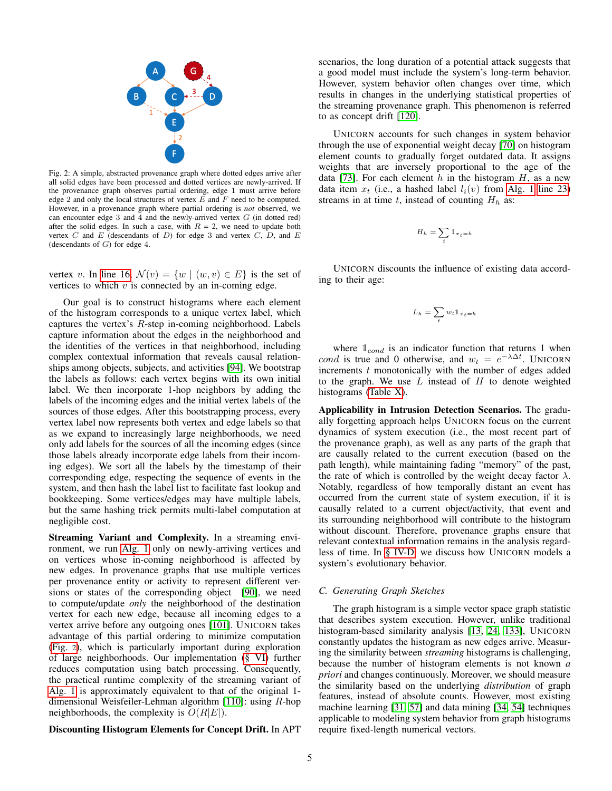<span id="page-4-0"></span>

Fig. 2: A simple, abstracted provenance graph where dotted edges arrive after all solid edges have been processed and dotted vertices are newly-arrived. If the provenance graph observes partial ordering, edge 1 must arrive before edge 2 and only the local structures of vertex  $E$  and  $F$  need to be computed. However, in a provenance graph where partial ordering is *not* observed, we can encounter edge  $3$  and  $4$  and the newly-arrived vertex  $G$  (in dotted red) after the solid edges. In such a case, with  $R = 2$ , we need to update both vertex  $C$  and  $E$  (descendants of  $D$ ) for edge 3 and vertex  $C$ ,  $D$ , and  $E$ (descendants of  $G$ ) for edge 4.

vertex v. In [line 16,](#page-3-5)  $\mathcal{N}(v) = \{w \mid (w, v) \in E\}$  is the set of vertices to which  $v$  is connected by an in-coming edge.

Our goal is to construct histograms where each element of the histogram corresponds to a unique vertex label, which captures the vertex's R-step in-coming neighborhood. Labels capture information about the edges in the neighborhood and the identities of the vertices in that neighborhood, including complex contextual information that reveals causal relationships among objects, subjects, and activities [\[94\]](#page-16-24). We bootstrap the labels as follows: each vertex begins with its own initial label. We then incorporate 1-hop neighbors by adding the labels of the incoming edges and the initial vertex labels of the sources of those edges. After this bootstrapping process, every vertex label now represents both vertex and edge labels so that as we expand to increasingly large neighborhoods, we need only add labels for the sources of all the incoming edges (since those labels already incorporate edge labels from their incoming edges). We sort all the labels by the timestamp of their corresponding edge, respecting the sequence of events in the system, and then hash the label list to facilitate fast lookup and bookkeeping. Some vertices/edges may have multiple labels, but the same hashing trick permits multi-label computation at negligible cost.

Streaming Variant and Complexity. In a streaming environment, we run [Alg. 1](#page-3-1) only on newly-arriving vertices and on vertices whose in-coming neighborhood is affected by new edges. In provenance graphs that use multiple vertices per provenance entity or activity to represent different versions or states of the corresponding object [\[90\]](#page-16-25), we need to compute/update *only* the neighborhood of the destination vertex for each new edge, because all incoming edges to a vertex arrive before any outgoing ones [\[101\]](#page-16-15). UNICORN takes advantage of this partial ordering to minimize computation [\(Fig.](#page-4-0) 2), which is particularly important during exploration of large neighborhoods. Our implementation [\(§ VI\)](#page-6-0) further reduces computation using batch processing. Consequently, the practical runtime complexity of the streaming variant of [Alg. 1](#page-3-1) is approximately equivalent to that of the original 1 dimensional Weisfeiler-Lehman algorithm [\[110\]](#page-16-19): using R-hop neighborhoods, the complexity is  $O(R|E|)$ .

Discounting Histogram Elements for Concept Drift. In APT

UNICORN accounts for such changes in system behavior through the use of exponential weight decay [\[70\]](#page-15-17) on histogram element counts to gradually forget outdated data. It assigns weights that are inversely proportional to the age of the data [\[73\]](#page-15-18). For each element h in the histogram  $H$ , as a new data item  $x_t$  (i.e., a hashed label  $l_i(v)$  from [Alg. 1](#page-3-1) [line 23\)](#page-3-6) streams in at time t, instead of counting  $H_h$  as:

$$
H_h = \sum_t \mathbb{1}_{x_t = h}
$$

UNICORN discounts the influence of existing data according to their age:

$$
L_h = \sum_t w_t \mathbb{1}_{x_t = h}
$$

where  $\mathbb{1}_{cond}$  is an indicator function that returns 1 when cond is true and 0 otherwise, and  $w_t = e^{-\lambda \Delta t}$ . UNICORN increments  $t$  monotonically with the number of edges added to the graph. We use  $L$  instead of  $H$  to denote weighted histograms [\(Table X\)](#page-17-0).

Applicability in Intrusion Detection Scenarios. The gradually forgetting approach helps UNICORN focus on the current dynamics of system execution (i.e., the most recent part of the provenance graph), as well as any parts of the graph that are causally related to the current execution (based on the path length), while maintaining fading "memory" of the past, the rate of which is controlled by the weight decay factor  $\lambda$ . Notably, regardless of how temporally distant an event has occurred from the current state of system execution, if it is causally related to a current object/activity, that event and its surrounding neighborhood will contribute to the histogram without discount. Therefore, provenance graphs ensure that relevant contextual information remains in the analysis regardless of time. In [§ IV-D,](#page-5-0) we discuss how UNICORN models a system's evolutionary behavior.

#### <span id="page-4-1"></span>*C. Generating Graph Sketches*

The graph histogram is a simple vector space graph statistic that describes system execution. However, unlike traditional histogram-based similarity analysis [\[13,](#page-14-12) [24,](#page-14-13) [133\]](#page-16-27), UNICORN constantly updates the histogram as new edges arrive. Measuring the similarity between *streaming* histograms is challenging, because the number of histogram elements is not known *a priori* and changes continuously. Moreover, we should measure the similarity based on the underlying *distribution* of graph features, instead of absolute counts. However, most existing machine learning [\[31,](#page-14-14) [57\]](#page-15-19) and data mining [\[34,](#page-14-15) [54\]](#page-15-20) techniques applicable to modeling system behavior from graph histograms require fixed-length numerical vectors.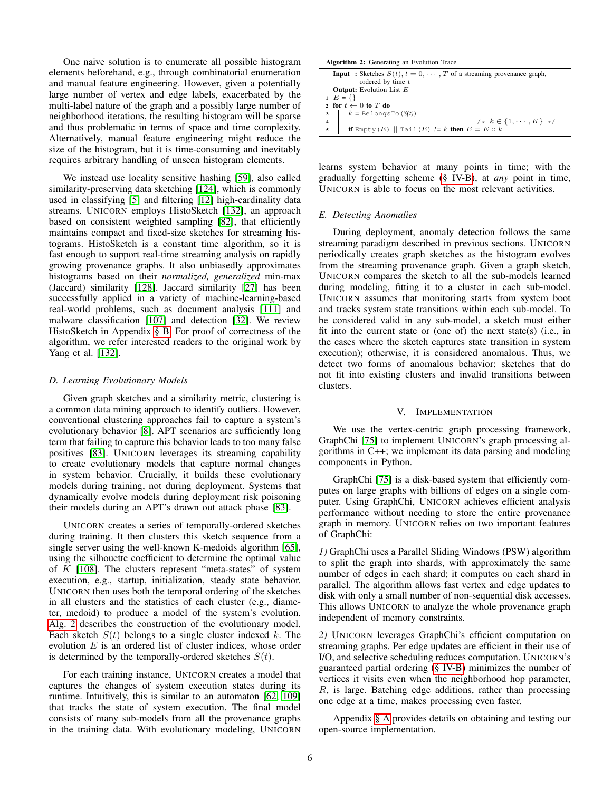One naive solution is to enumerate all possible histogram elements beforehand, e.g., through combinatorial enumeration and manual feature engineering. However, given a potentially large number of vertex and edge labels, exacerbated by the multi-label nature of the graph and a possibly large number of neighborhood iterations, the resulting histogram will be sparse and thus problematic in terms of space and time complexity. Alternatively, manual feature engineering might reduce the size of the histogram, but it is time-consuming and inevitably requires arbitrary handling of unseen histogram elements.

We instead use locality sensitive hashing [\[59\]](#page-15-21), also called similarity-preserving data sketching [\[124\]](#page-16-28), which is commonly used in classifying [\[5\]](#page-14-16) and filtering [\[12\]](#page-14-17) high-cardinality data streams. UNICORN employs HistoSketch [\[132\]](#page-16-17), an approach based on consistent weighted sampling [\[82\]](#page-15-22), that efficiently maintains compact and fixed-size sketches for streaming histograms. HistoSketch is a constant time algorithm, so it is fast enough to support real-time streaming analysis on rapidly growing provenance graphs. It also unbiasedly approximates histograms based on their *normalized, generalized* min-max (Jaccard) similarity [\[128\]](#page-16-29). Jaccard similarity [\[27\]](#page-14-18) has been successfully applied in a variety of machine-learning-based real-world problems, such as document analysis [\[111\]](#page-16-30) and malware classification [\[107\]](#page-16-31) and detection [\[32\]](#page-14-19). We review HistoSketch in Appendix [§ B.](#page-17-1) For proof of correctness of the algorithm, we refer interested readers to the original work by Yang et al. [\[132\]](#page-16-17).

## <span id="page-5-0"></span>*D. Learning Evolutionary Models*

Given graph sketches and a similarity metric, clustering is a common data mining approach to identify outliers. However, conventional clustering approaches fail to capture a system's evolutionary behavior [\[8\]](#page-14-20). APT scenarios are sufficiently long term that failing to capture this behavior leads to too many false positives [\[83\]](#page-15-1). UNICORN leverages its streaming capability to create evolutionary models that capture normal changes in system behavior. Crucially, it builds these evolutionary models during training, not during deployment. Systems that dynamically evolve models during deployment risk poisoning their models during an APT's drawn out attack phase [\[83\]](#page-15-1).

UNICORN creates a series of temporally-ordered sketches during training. It then clusters this sketch sequence from a single server using the well-known K-medoids algorithm [\[65\]](#page-15-23), using the silhouette coefficient to determine the optimal value of  $K$  [\[108\]](#page-16-32). The clusters represent "meta-states" of system execution, e.g., startup, initialization, steady state behavior. UNICORN then uses both the temporal ordering of the sketches in all clusters and the statistics of each cluster (e.g., diameter, medoid) to produce a model of the system's evolution. [Alg. 2](#page-5-1) describes the construction of the evolutionary model. Each sketch  $S(t)$  belongs to a single cluster indexed k. The evolution  $E$  is an ordered list of cluster indices, whose order is determined by the temporally-ordered sketches  $S(t)$ .

For each training instance, UNICORN creates a model that captures the changes of system execution states during its runtime. Intuitively, this is similar to an automaton [\[62,](#page-15-24) [109\]](#page-16-5) that tracks the state of system execution. The final model consists of many sub-models from all the provenance graphs in the training data. With evolutionary modeling, UNICORN

| <b>Algorithm 2:</b> Generating an Evolution Trace                                   |
|-------------------------------------------------------------------------------------|
| <b>Input</b> : Sketches $S(t)$ , $t = 0, \dots, T$ of a streaming provenance graph, |
| ordered by time t                                                                   |
| <b>Output:</b> Evolution List $E$                                                   |
| $E = \{\}$                                                                          |
| 2 for $t \leftarrow 0$ to T do                                                      |
| $3 \mid k = \text{BelongsTo}(S(t))$                                                 |
| /* $k \in \{1, \cdots, K\}$ */<br>$\overline{\mathbf{4}}$                           |
| if Empty $(E)$   Tail $(E)$ /= k then $E = E :: k$                                  |

<span id="page-5-1"></span>learns system behavior at many points in time; with the gradually forgetting scheme [\(§ IV-B\)](#page-3-0), at *any* point in time, UNICORN is able to focus on the most relevant activities.

#### *E. Detecting Anomalies*

During deployment, anomaly detection follows the same streaming paradigm described in previous sections. UNICORN periodically creates graph sketches as the histogram evolves from the streaming provenance graph. Given a graph sketch, UNICORN compares the sketch to all the sub-models learned during modeling, fitting it to a cluster in each sub-model. UNICORN assumes that monitoring starts from system boot and tracks system state transitions within each sub-model. To be considered valid in any sub-model, a sketch must either fit into the current state or (one of) the next state(s) (i.e., in the cases where the sketch captures state transition in system execution); otherwise, it is considered anomalous. Thus, we detect two forms of anomalous behavior: sketches that do not fit into existing clusters and invalid transitions between clusters.

#### V. IMPLEMENTATION

<span id="page-5-2"></span>We use the vertex-centric graph processing framework, GraphChi [\[75\]](#page-15-25) to implement UNICORN's graph processing algorithms in C++; we implement its data parsing and modeling components in Python.

GraphChi [\[75\]](#page-15-25) is a disk-based system that efficiently computes on large graphs with billions of edges on a single computer. Using GraphChi, UNICORN achieves efficient analysis performance without needing to store the entire provenance graph in memory. UNICORN relies on two important features of GraphChi:

*1)* GraphChi uses a Parallel Sliding Windows (PSW) algorithm to split the graph into shards, with approximately the same number of edges in each shard; it computes on each shard in parallel. The algorithm allows fast vertex and edge updates to disk with only a small number of non-sequential disk accesses. This allows UNICORN to analyze the whole provenance graph independent of memory constraints.

*2)* UNICORN leverages GraphChi's efficient computation on streaming graphs. Per edge updates are efficient in their use of I/O, and selective scheduling reduces computation. UNICORN's guaranteed partial ordering [\(§ IV-B\)](#page-3-0) minimizes the number of vertices it visits even when the neighborhood hop parameter, R, is large. Batching edge additions, rather than processing one edge at a time, makes processing even faster.

Appendix [§ A](#page-17-2) provides details on obtaining and testing our open-source implementation.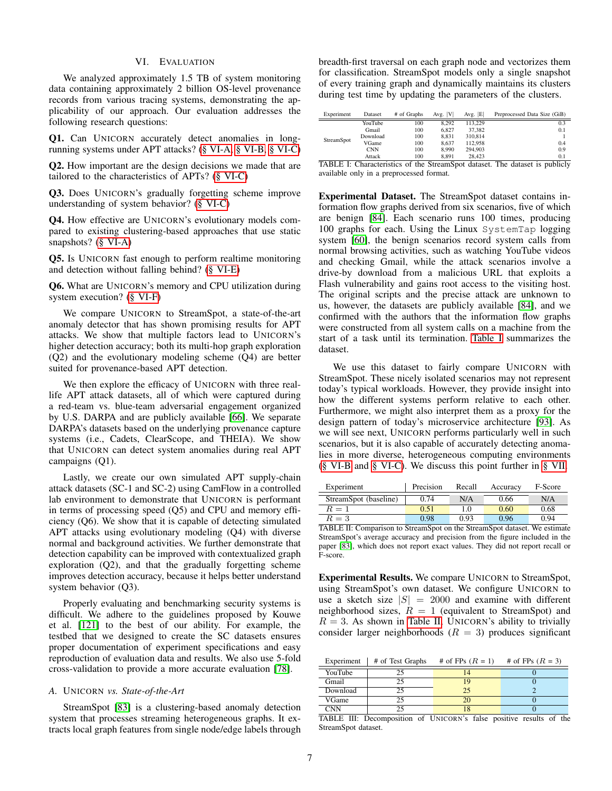## VI. EVALUATION

<span id="page-6-0"></span>We analyzed approximately 1.5 TB of system monitoring data containing approximately 2 billion OS-level provenance records from various tracing systems, demonstrating the applicability of our approach. Our evaluation addresses the following research questions:

Q1. Can UNICORN accurately detect anomalies in longrunning systems under APT attacks? [\(§ VI-A,](#page-6-1) [§ VI-B,](#page-7-0) [§ VI-C\)](#page-7-1)

Q2. How important are the design decisions we made that are tailored to the characteristics of APTs? [\(§ VI-C\)](#page-7-1)

Q3. Does UNICORN's gradually forgetting scheme improve understanding of system behavior? [\(§ VI-C\)](#page-7-1)

Q4. How effective are UNICORN's evolutionary models compared to existing clustering-based approaches that use static snapshots? [\(§ VI-A\)](#page-6-1)

Q5. Is UNICORN fast enough to perform realtime monitoring and detection without falling behind? [\(§ VI-E\)](#page-9-0)

Q6. What are UNICORN's memory and CPU utilization during system execution? [\(§ VI-F\)](#page-10-0)

We compare UNICORN to StreamSpot, a state-of-the-art anomaly detector that has shown promising results for APT attacks. We show that multiple factors lead to UNICORN's higher detection accuracy; both its multi-hop graph exploration (Q2) and the evolutionary modeling scheme (Q4) are better suited for provenance-based APT detection.

We then explore the efficacy of UNICORN with three reallife APT attack datasets, all of which were captured during a red-team vs. blue-team adversarial engagement organized by U.S. DARPA and are publicly available [\[66\]](#page-15-26). We separate DARPA's datasets based on the underlying provenance capture systems (i.e., Cadets, ClearScope, and THEIA). We show that UNICORN can detect system anomalies during real APT campaigns (Q1).

Lastly, we create our own simulated APT supply-chain attack datasets (SC-1 and SC-2) using CamFlow in a controlled lab environment to demonstrate that UNICORN is performant in terms of processing speed (Q5) and CPU and memory efficiency (Q6). We show that it is capable of detecting simulated APT attacks using evolutionary modeling (Q4) with diverse normal and background activities. We further demonstrate that detection capability can be improved with contextualized graph exploration (Q2), and that the gradually forgetting scheme improves detection accuracy, because it helps better understand system behavior (Q3).

Properly evaluating and benchmarking security systems is difficult. We adhere to the guidelines proposed by Kouwe et al. [\[121\]](#page-16-33) to the best of our ability. For example, the testbed that we designed to create the SC datasets ensures proper documentation of experiment specifications and easy reproduction of evaluation data and results. We also use 5-fold cross-validation to provide a more accurate evaluation [\[78\]](#page-15-27).

## <span id="page-6-1"></span>*A.* UNICORN *vs. State-of-the-Art*

StreamSpot [\[83\]](#page-15-1) is a clustering-based anomaly detection system that processes streaming heterogeneous graphs. It extracts local graph features from single node/edge labels through breadth-first traversal on each graph node and vectorizes them for classification. StreamSpot models only a single snapshot of every training graph and dynamically maintains its clusters during test time by updating the parameters of the clusters.

<span id="page-6-2"></span>

| Experiment | Dataset    | # of Graphs                | Avg.  V          | Avg. $ E $ | Preprocessed Data Size (GiB) |
|------------|------------|----------------------------|------------------|------------|------------------------------|
|            | YouTube    | 100                        | 8.292            | 113.229    | 0.3                          |
|            | Gmail      | 100                        | 6.827            | 37.382     | 0.1                          |
|            | Download   | 100                        | 8.831            | 310,814    |                              |
| StreamSpot | VGame      | 100                        | 8.637            | 112.958    | 0.4                          |
|            | <b>CNN</b> | 100                        | 8.990            | 294.903    | 0.9                          |
|            | Attack     | 100                        | 8.891            | 28.423     | 0.1                          |
| ------     | $\sim$     | $\cdot$ .<br>$\sim$ $\sim$ | $\sim$<br>$\sim$ | $\sim$     | .  .<br>$\sim$               |

TABLE I: Characteristics of the StreamSpot dataset. The dataset is publicly available only in a preprocessed format.

Experimental Dataset. The StreamSpot dataset contains information flow graphs derived from six scenarios, five of which are benign [\[84\]](#page-15-28). Each scenario runs 100 times, producing 100 graphs for each. Using the Linux SystemTap logging system [\[60\]](#page-15-29), the benign scenarios record system calls from normal browsing activities, such as watching YouTube videos and checking Gmail, while the attack scenarios involve a drive-by download from a malicious URL that exploits a Flash vulnerability and gains root access to the visiting host. The original scripts and the precise attack are unknown to us, however, the datasets are publicly available [\[84\]](#page-15-28), and we confirmed with the authors that the information flow graphs were constructed from all system calls on a machine from the start of a task until its termination. [Table I](#page-6-2) summarizes the dataset.

We use this dataset to fairly compare UNICORN with StreamSpot. These nicely isolated scenarios may not represent today's typical workloads. However, they provide insight into how the different systems perform relative to each other. Furthermore, we might also interpret them as a proxy for the design pattern of today's microservice architecture [\[93\]](#page-16-34). As we will see next, UNICORN performs particularly well in such scenarios, but it is also capable of accurately detecting anomalies in more diverse, heterogeneous computing environments [\(§ VI-B](#page-7-0) and [§ VI-C\)](#page-7-1). We discuss this point further in [§ VII.](#page-11-0)

<span id="page-6-3"></span>

| Experiment            | Precision | Recall | Accuracy | F-Score |
|-----------------------|-----------|--------|----------|---------|
| StreamSpot (baseline) | 0.74      | N/A    | 0.66     | N/A     |
| $R=1$                 | 0.51      | L.O    | 0.60     | 0.68    |
| $R=3$                 | 0.98      | 0.93   | 0.96     | 0.94    |

TABLE II: Comparison to StreamSpot on the StreamSpot dataset. We estimate StreamSpot's average accuracy and precision from the figure included in the paper [\[83\]](#page-15-1), which does not report exact values. They did not report recall or F-score.

Experimental Results. We compare UNICORN to StreamSpot, using StreamSpot's own dataset. We configure UNICORN to use a sketch size  $|S| = 2000$  and examine with different neighborhood sizes,  $R = 1$  (equivalent to StreamSpot) and  $R = 3$ . As shown in [Table II,](#page-6-3) UNICORN's ability to trivially consider larger neighborhoods  $(R = 3)$  produces significant

<span id="page-6-4"></span>Experiment  $\parallel$  # of Test Graphs # of FPs  $(R = 1)$  # of FPs  $(R = 3)$ 

| YouTube       |  |  |
|---------------|--|--|
| Gmail         |  |  |
| Download      |  |  |
| VGame         |  |  |
| $^{\circ}$ NN |  |  |

TABLE III: Decomposition of UNICORN's false positive results of the StreamSpot dataset.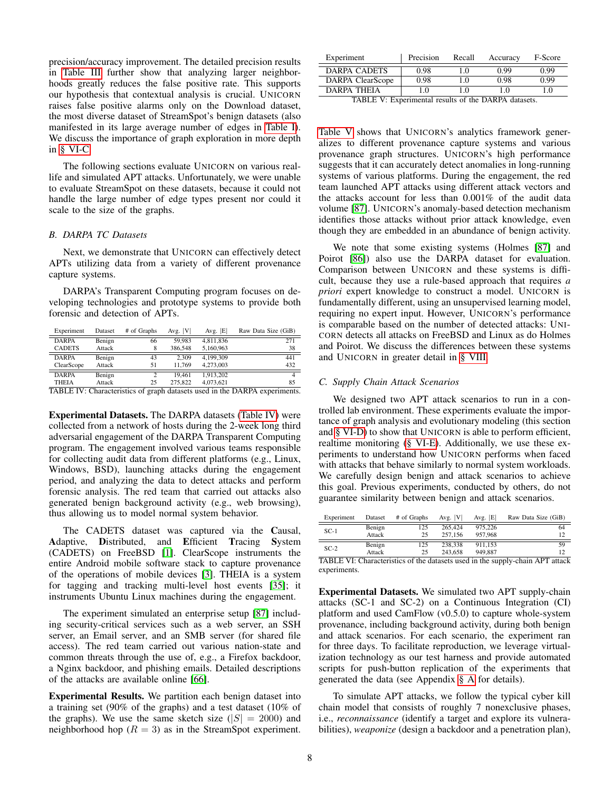precision/accuracy improvement. The detailed precision results in [Table III](#page-6-4) further show that analyzing larger neighborhoods greatly reduces the false positive rate. This supports our hypothesis that contextual analysis is crucial. UNICORN raises false positive alarms only on the Download dataset, the most diverse dataset of StreamSpot's benign datasets (also manifested in its large average number of edges in [Table I\)](#page-6-2). We discuss the importance of graph exploration in more depth in [§ VI-C.](#page-7-1)

The following sections evaluate UNICORN on various reallife and simulated APT attacks. Unfortunately, we were unable to evaluate StreamSpot on these datasets, because it could not handle the large number of edge types present nor could it scale to the size of the graphs.

## <span id="page-7-0"></span>*B. DARPA TC Datasets*

Next, we demonstrate that UNICORN can effectively detect APTs utilizing data from a variety of different provenance capture systems.

DARPA's Transparent Computing program focuses on developing technologies and prototype systems to provide both forensic and detection of APTs.

<span id="page-7-2"></span>

| # of Graphs | Avg. $ V $                                                          | Avg. $ E $ | Raw Data Size (GiB) |
|-------------|---------------------------------------------------------------------|------------|---------------------|
| 66          | 59.983                                                              | 4,811,836  | 271                 |
| 8           | 386,548                                                             | 5,160,963  | 38                  |
| 43          | 2.309                                                               | 4.199.309  | 441                 |
| 51          | 11.769                                                              | 4.273,003  | 432                 |
|             | 19.461                                                              | 1.913.202  |                     |
| 25          | 275,822                                                             | 4,073,621  | 85                  |
|             | Dataset<br>Benign<br>Attack<br>Benign<br>Attack<br>Benign<br>Attack |            |                     |

TABLE IV: Characteristics of graph datasets used in the DARPA experiments.

Experimental Datasets. The DARPA datasets [\(Table IV\)](#page-7-2) were collected from a network of hosts during the 2-week long third adversarial engagement of the DARPA Transparent Computing program. The engagement involved various teams responsible for collecting audit data from different platforms (e.g., Linux, Windows, BSD), launching attacks during the engagement period, and analyzing the data to detect attacks and perform forensic analysis. The red team that carried out attacks also generated benign background activity (e.g., web browsing), thus allowing us to model normal system behavior.

The CADETS dataset was captured via the Causal, Adaptive, Distributed, and Efficient Tracing System (CADETS) on FreeBSD [\[1\]](#page-14-21). ClearScope instruments the entire Android mobile software stack to capture provenance of the operations of mobile devices [\[3\]](#page-14-22). THEIA is a system for tagging and tracking multi-level host events [\[35\]](#page-14-23); it instruments Ubuntu Linux machines during the engagement.

The experiment simulated an enterprise setup [\[87\]](#page-15-2) including security-critical services such as a web server, an SSH server, an Email server, and an SMB server (for shared file access). The red team carried out various nation-state and common threats through the use of, e.g., a Firefox backdoor, a Nginx backdoor, and phishing emails. Detailed descriptions of the attacks are available online [\[66\]](#page-15-26).

Experimental Results. We partition each benign dataset into a training set (90% of the graphs) and a test dataset (10% of the graphs). We use the same sketch size ( $|S| = 2000$ ) and neighborhood hop  $(R = 3)$  as in the StreamSpot experiment.

<span id="page-7-3"></span>

| Experiment       | Precision | Recall | Accuracy | F-Score |
|------------------|-----------|--------|----------|---------|
| DARPA CADETS     | 0.98      | 10     | 0.99     | 0.99    |
| DARPA ClearScope | 0.98      | 1.0    | 0.98     | 0.99    |
| DARPA THEIA      | -0        |        |          |         |

TABLE V: Experimental results of the DARPA datasets.

[Table V](#page-7-3) shows that UNICORN's analytics framework generalizes to different provenance capture systems and various provenance graph structures. UNICORN's high performance suggests that it can accurately detect anomalies in long-running systems of various platforms. During the engagement, the red team launched APT attacks using different attack vectors and the attacks account for less than 0.001% of the audit data volume [\[87\]](#page-15-2). UNICORN's anomaly-based detection mechanism identifies those attacks without prior attack knowledge, even though they are embedded in an abundance of benign activity.

We note that some existing systems (Holmes [\[87\]](#page-15-2) and Poirot [\[86\]](#page-15-30)) also use the DARPA dataset for evaluation. Comparison between UNICORN and these systems is difficult, because they use a rule-based approach that requires *a priori* expert knowledge to construct a model. UNICORN is fundamentally different, using an unsupervised learning model, requiring no expert input. However, UNICORN's performance is comparable based on the number of detected attacks: UNI-CORN detects all attacks on FreeBSD and Linux as do Holmes and Poirot. We discuss the differences between these systems and UNICORN in greater detail in [§ VIII.](#page-12-0)

#### <span id="page-7-1"></span>*C. Supply Chain Attack Scenarios*

We designed two APT attack scenarios to run in a controlled lab environment. These experiments evaluate the importance of graph analysis and evolutionary modeling (this section and [§ VI-D\)](#page-8-0) to show that UNICORN is able to perform efficient, realtime monitoring [\(§ VI-E\)](#page-9-0). Additionally, we use these experiments to understand how UNICORN performs when faced with attacks that behave similarly to normal system workloads. We carefully design benign and attack scenarios to achieve this goal. Previous experiments, conducted by others, do not guarantee similarity between benign and attack scenarios.

<span id="page-7-4"></span>

| Experiment       | Dataset | # of Graphs       | Avg. $ V $     | Avg. $ E $ | Raw Data Size (GiB) |                   |
|------------------|---------|-------------------|----------------|------------|---------------------|-------------------|
| $SC-1$           | Benign  | 125               | 265,424        | 975,226    |                     | 64                |
|                  | Attack  | 25                | 257,156        | 957,968    |                     | 12                |
| $SC-2$           | Benign  | 125               | 238,338        | 911.153    |                     | 59                |
|                  | Attack  | 25                | 243,658        | 949.887    |                     | 12                |
| <b>PIDIPITIO</b> | .       | $\mathcal{C}$ . 1 | $\blacksquare$ |            | 1.727               | $\cdots$ $\cdots$ |

TABLE VI: Characteristics of the datasets used in the supply-chain APT attack experiments.

Experimental Datasets. We simulated two APT supply-chain attacks (SC-1 and SC-2) on a Continuous Integration (CI) platform and used CamFlow (v0.5.0) to capture whole-system provenance, including background activity, during both benign and attack scenarios. For each scenario, the experiment ran for three days. To facilitate reproduction, we leverage virtualization technology as our test harness and provide automated scripts for push-button replication of the experiments that generated the data (see Appendix [§ A](#page-17-2) for details).

To simulate APT attacks, we follow the typical cyber kill chain model that consists of roughly 7 nonexclusive phases, i.e., *reconnaissance* (identify a target and explore its vulnerabilities), *weaponize* (design a backdoor and a penetration plan),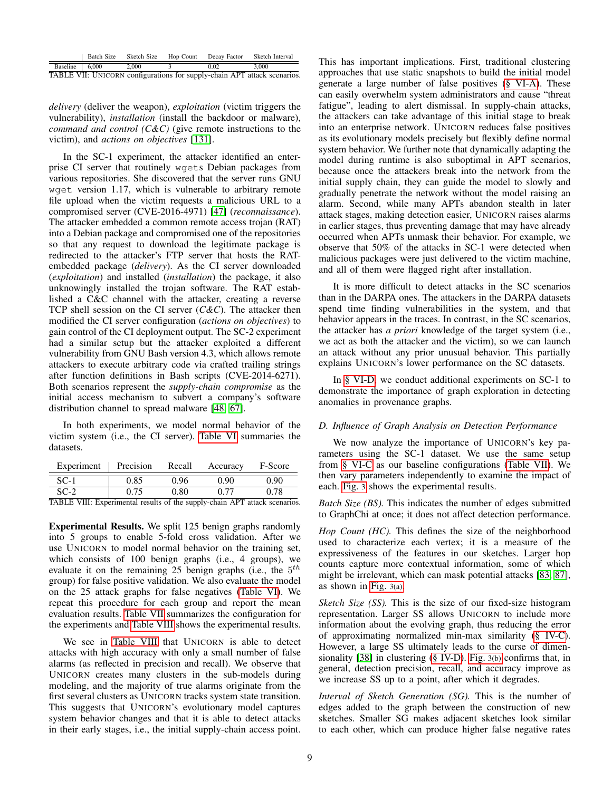<span id="page-8-1"></span>

|                            | Batch Size | Sketch Size | Hop Count Decay Factor | Sketch Interval                                                          |
|----------------------------|------------|-------------|------------------------|--------------------------------------------------------------------------|
| Baseline $\frac{1}{6,000}$ |            | 2.000       | 0.02                   | 3.000                                                                    |
|                            |            |             |                        | TABLE VII: UNICORN configurations for supply-chain APT attack scenarios. |

*delivery* (deliver the weapon), *exploitation* (victim triggers the vulnerability), *installation* (install the backdoor or malware), *command and control (C&C)* (give remote instructions to the victim), and *actions on objectives* [\[131\]](#page-16-16).

In the SC-1 experiment, the attacker identified an enterprise CI server that routinely wgets Debian packages from various repositories. She discovered that the server runs GNU wget version 1.17, which is vulnerable to arbitrary remote file upload when the victim requests a malicious URL to a compromised server (CVE-2016-4971) [\[47\]](#page-15-31) (*reconnaissance*). The attacker embedded a common remote access trojan (RAT) into a Debian package and compromised one of the repositories so that any request to download the legitimate package is redirected to the attacker's FTP server that hosts the RATembedded package (*delivery*). As the CI server downloaded (*exploitation*) and installed (*installation*) the package, it also unknowingly installed the trojan software. The RAT established a C&C channel with the attacker, creating a reverse TCP shell session on the CI server (*C&C*). The attacker then modified the CI server configuration (*actions on objectives*) to gain control of the CI deployment output. The SC-2 experiment had a similar setup but the attacker exploited a different vulnerability from GNU Bash version 4.3, which allows remote attackers to execute arbitrary code via crafted trailing strings after function definitions in Bash scripts (CVE-2014-6271). Both scenarios represent the *supply-chain compromise* as the initial access mechanism to subvert a company's software distribution channel to spread malware [\[48,](#page-15-32) [67\]](#page-15-33).

In both experiments, we model normal behavior of the victim system (i.e., the CI server). [Table VI](#page-7-4) summaries the datasets.

<span id="page-8-2"></span>

| Experiment         | Precision | Recall            | Accuracy    | F-Score |
|--------------------|-----------|-------------------|-------------|---------|
| $SC-1$             | 0.85      | 0.96              | 0.90        | 0.90    |
| $SC-2$<br>________ | 0.75      | $\rm 0.80$<br>. . | $\sim$ $ -$ | 0.78    |

TABLE VIII: Experimental results of the supply-chain APT attack scenarios.

Experimental Results. We split 125 benign graphs randomly into 5 groups to enable 5-fold cross validation. After we use UNICORN to model normal behavior on the training set, which consists of 100 benign graphs (i.e., 4 groups), we evaluate it on the remaining 25 benign graphs (i.e., the  $5<sup>th</sup>$ group) for false positive validation. We also evaluate the model on the 25 attack graphs for false negatives [\(Table VI\)](#page-7-4). We repeat this procedure for each group and report the mean evaluation results. [Table VII](#page-8-1) summarizes the configuration for the experiments and [Table VIII](#page-8-2) shows the experimental results.

We see in [Table VIII](#page-8-2) that UNICORN is able to detect attacks with high accuracy with only a small number of false alarms (as reflected in precision and recall). We observe that UNICORN creates many clusters in the sub-models during modeling, and the majority of true alarms originate from the first several clusters as UNICORN tracks system state transition. This suggests that UNICORN's evolutionary model captures system behavior changes and that it is able to detect attacks in their early stages, i.e., the initial supply-chain access point. This has important implications. First, traditional clustering approaches that use static snapshots to build the initial model generate a large number of false positives [\(§ VI-A\)](#page-6-1). These can easily overwhelm system administrators and cause "threat fatigue", leading to alert dismissal. In supply-chain attacks, the attackers can take advantage of this initial stage to break into an enterprise network. UNICORN reduces false positives as its evolutionary models precisely but flexibly define normal system behavior. We further note that dynamically adapting the model during runtime is also suboptimal in APT scenarios, because once the attackers break into the network from the initial supply chain, they can guide the model to slowly and gradually penetrate the network without the model raising an alarm. Second, while many APTs abandon stealth in later attack stages, making detection easier, UNICORN raises alarms in earlier stages, thus preventing damage that may have already occurred when APTs unmask their behavior. For example, we observe that 50% of the attacks in SC-1 were detected when malicious packages were just delivered to the victim machine, and all of them were flagged right after installation.

It is more difficult to detect attacks in the SC scenarios than in the DARPA ones. The attackers in the DARPA datasets spend time finding vulnerabilities in the system, and that behavior appears in the traces. In contrast, in the SC scenarios, the attacker has *a priori* knowledge of the target system (i.e., we act as both the attacker and the victim), so we can launch an attack without any prior unusual behavior. This partially explains UNICORN's lower performance on the SC datasets.

In [§ VI-D,](#page-8-0) we conduct additional experiments on SC-1 to demonstrate the importance of graph exploration in detecting anomalies in provenance graphs.

# <span id="page-8-0"></span>*D. Influence of Graph Analysis on Detection Performance*

We now analyze the importance of UNICORN's key parameters using the SC-1 dataset. We use the same setup from [§ VI-C](#page-7-1) as our baseline configurations [\(Table VII\)](#page-8-1). We then vary parameters independently to examine the impact of each. [Fig.](#page-9-1) 3 shows the experimental results.

*Batch Size (BS)*. This indicates the number of edges submitted to GraphChi at once; it does not affect detection performance.

*Hop Count (HC).* This defines the size of the neighborhood used to characterize each vertex; it is a measure of the expressiveness of the features in our sketches. Larger hop counts capture more contextual information, some of which might be irrelevant, which can mask potential attacks [\[83,](#page-15-1) [87\]](#page-15-2), as shown in [Fig.](#page-9-1) 3(a).

*Sketch Size (SS).* This is the size of our fixed-size histogram representation. Larger SS allows UNICORN to include more information about the evolving graph, thus reducing the error of approximating normalized min-max similarity [\(§ IV-C\)](#page-4-1). However, a large SS ultimately leads to the curse of dimensionality [\[38\]](#page-14-24) in clustering [\(§ IV-D\)](#page-5-0). [Fig.](#page-9-1) 3(b) confirms that, in general, detection precision, recall, and accuracy improve as we increase SS up to a point, after which it degrades.

*Interval of Sketch Generation (SG).* This is the number of edges added to the graph between the construction of new sketches. Smaller SG makes adjacent sketches look similar to each other, which can produce higher false negative rates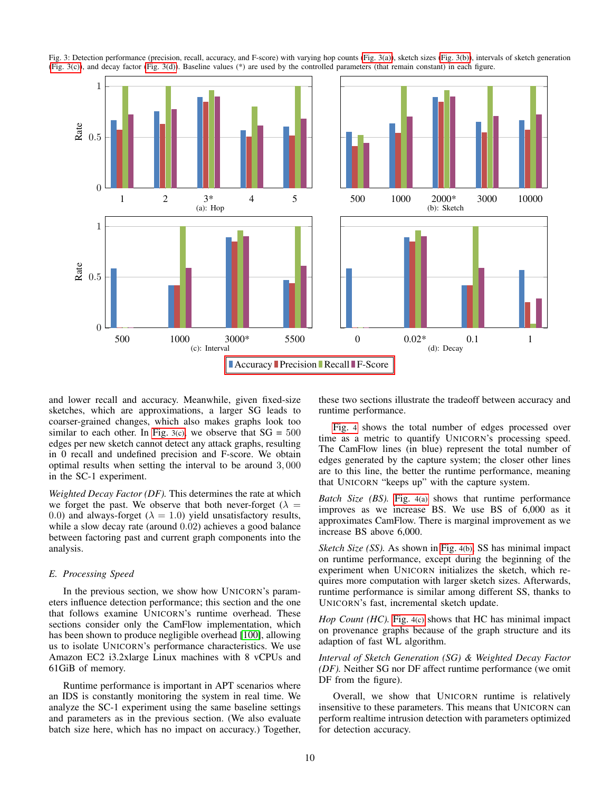

<span id="page-9-1"></span>Fig. 3: Detection performance (precision, recall, accuracy, and F-score) with varying hop counts [\(Fig. 3\(a\)\)](#page-9-1), sketch sizes [\(Fig. 3\(b\)\)](#page-9-1), intervals of sketch generation [\(Fig. 3\(c\)\)](#page-9-1), and decay factor [\(Fig. 3\(d\)\)](#page-9-1). Baseline values (\*) are used by the controlled parameters (that remain constant) in each figure.

and lower recall and accuracy. Meanwhile, given fixed-size sketches, which are approximations, a larger SG leads to coarser-grained changes, which also makes graphs look too similar to each other. In [Fig.](#page-9-1) 3(c), we observe that  $SG = 500$ edges per new sketch cannot detect any attack graphs, resulting in 0 recall and undefined precision and F-score. We obtain optimal results when setting the interval to be around 3, 000 in the SC-1 experiment.

*Weighted Decay Factor (DF).* This determines the rate at which we forget the past. We observe that both never-forget ( $\lambda =$ 0.0) and always-forget ( $\lambda = 1.0$ ) yield unsatisfactory results, while a slow decay rate (around 0.02) achieves a good balance between factoring past and current graph components into the analysis.

#### <span id="page-9-0"></span>*E. Processing Speed*

In the previous section, we show how UNICORN's parameters influence detection performance; this section and the one that follows examine UNICORN's runtime overhead. These sections consider only the CamFlow implementation, which has been shown to produce negligible overhead [\[100\]](#page-16-8), allowing us to isolate UNICORN's performance characteristics. We use Amazon EC2 i3.2xlarge Linux machines with 8 vCPUs and 61GiB of memory.

Runtime performance is important in APT scenarios where an IDS is constantly monitoring the system in real time. We analyze the SC-1 experiment using the same baseline settings and parameters as in the previous section. (We also evaluate batch size here, which has no impact on accuracy.) Together, these two sections illustrate the tradeoff between accuracy and runtime performance.

[Fig.](#page-10-1) 4 shows the total number of edges processed over time as a metric to quantify UNICORN's processing speed. The CamFlow lines (in blue) represent the total number of edges generated by the capture system; the closer other lines are to this line, the better the runtime performance, meaning that UNICORN "keeps up" with the capture system.

*Batch Size (BS).* [Fig.](#page-10-1) 4(a) shows that runtime performance improves as we increase BS. We use BS of 6,000 as it approximates CamFlow. There is marginal improvement as we increase BS above 6,000.

*Sketch Size (SS).* As shown in [Fig.](#page-10-1) 4(b), SS has minimal impact on runtime performance, except during the beginning of the experiment when UNICORN initializes the sketch, which requires more computation with larger sketch sizes. Afterwards, runtime performance is similar among different SS, thanks to UNICORN's fast, incremental sketch update.

*Hop Count (HC)*. [Fig.](#page-10-1) 4(c) shows that HC has minimal impact on provenance graphs because of the graph structure and its adaption of fast WL algorithm.

*Interval of Sketch Generation (SG) & Weighted Decay Factor (DF).* Neither SG nor DF affect runtime performance (we omit DF from the figure).

Overall, we show that UNICORN runtime is relatively insensitive to these parameters. This means that UNICORN can perform realtime intrusion detection with parameters optimized for detection accuracy.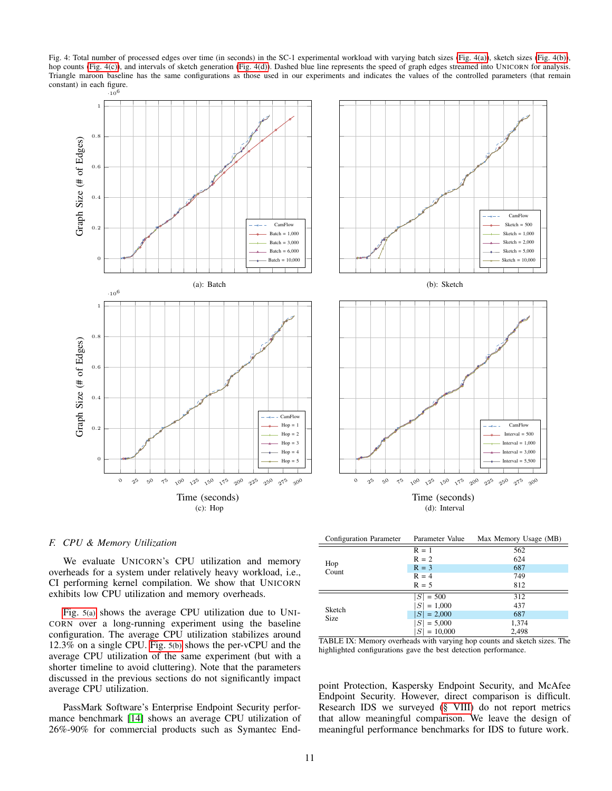<span id="page-10-1"></span>Fig. 4: Total number of processed edges over time (in seconds) in the SC-1 experimental workload with varying batch sizes [\(Fig. 4\(a\)\)](#page-10-1), sketch sizes [\(Fig. 4\(b\)\)](#page-10-1), hop counts [\(Fig. 4\(c\)\)](#page-10-1), and intervals of sketch generation [\(Fig. 4\(d\)\)](#page-10-1). Dashed blue line represents the speed of graph edges streamed into UNICORN for analysis. Triangle maroon baseline has the same configurations as those used in our experiments and indicates the values of the controlled parameters (that remain constant) in each figure.



## <span id="page-10-0"></span>*F. CPU & Memory Utilization*

We evaluate UNICORN's CPU utilization and memory overheads for a system under relatively heavy workload, i.e., CI performing kernel compilation. We show that UNICORN exhibits low CPU utilization and memory overheads.

[Fig.](#page-11-2) 5(a) shows the average CPU utilization due to UNI-CORN over a long-running experiment using the baseline configuration. The average CPU utilization stabilizes around 12.3% on a single CPU. [Fig.](#page-11-2) 5(b) shows the per-vCPU and the average CPU utilization of the same experiment (but with a shorter timeline to avoid cluttering). Note that the parameters discussed in the previous sections do not significantly impact average CPU utilization.

PassMark Software's Enterprise Endpoint Security performance benchmark [\[14\]](#page-14-25) shows an average CPU utilization of 26%-90% for commercial products such as Symantec End-

<span id="page-10-2"></span>

| Configuration Parameter | Parameter Value       | Max Memory Usage (MB) |
|-------------------------|-----------------------|-----------------------|
|                         | $R = 1$               | 562                   |
|                         | $R = 2$               | 624                   |
| Hop<br>Count            | $R = 3$               | 687                   |
|                         | $R = 4$               | 749                   |
|                         | $R = 5$               | 812                   |
|                         | $ S  = 500$           | 312                   |
| Sketch                  | $ S  = 1,000$         | 437                   |
| Size                    | $ S  = 2,000$         | 687                   |
|                         | $ S  = 5,000$         | 1,374                 |
| . .<br>____________     | $ S  = 10,000$<br>. . | 2,498<br>--<br>$\sim$ |

TABLE IX: Memory overheads with varying hop counts and sketch sizes. The highlighted configurations gave the best detection performance.

point Protection, Kaspersky Endpoint Security, and McAfee Endpoint Security. However, direct comparison is difficult. Research IDS we surveyed [\(§ VIII\)](#page-12-0) do not report metrics that allow meaningful comparison. We leave the design of meaningful performance benchmarks for IDS to future work.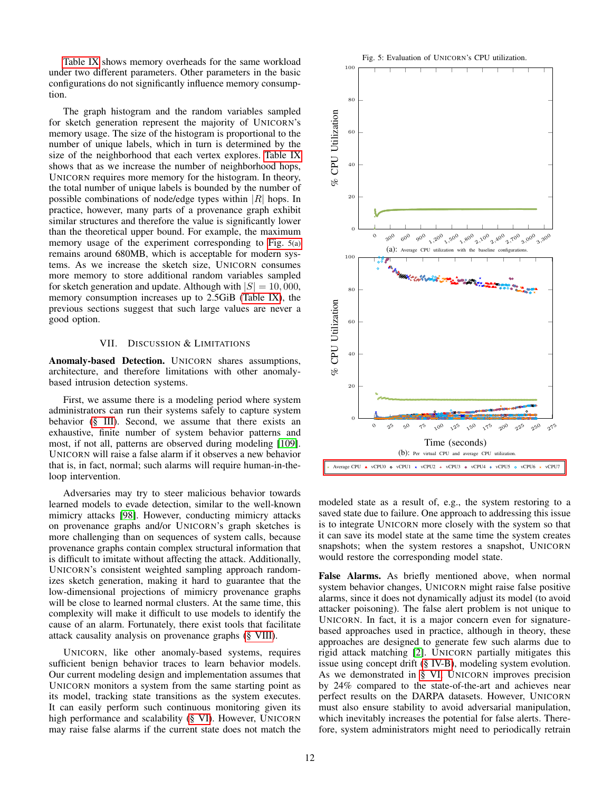[Table IX](#page-10-2) shows memory overheads for the same workload under two different parameters. Other parameters in the basic configurations do not significantly influence memory consumption.

The graph histogram and the random variables sampled for sketch generation represent the majority of UNICORN's memory usage. The size of the histogram is proportional to the number of unique labels, which in turn is determined by the size of the neighborhood that each vertex explores. [Table IX](#page-10-2) shows that as we increase the number of neighborhood hops, UNICORN requires more memory for the histogram. In theory, the total number of unique labels is bounded by the number of possible combinations of node/edge types within  $|R|$  hops. In practice, however, many parts of a provenance graph exhibit similar structures and therefore the value is significantly lower than the theoretical upper bound. For example, the maximum memory usage of the experiment corresponding to [Fig.](#page-11-2) 5(a) remains around 680MB, which is acceptable for modern systems. As we increase the sketch size, UNICORN consumes more memory to store additional random variables sampled for sketch generation and update. Although with  $|S| = 10,000$ , memory consumption increases up to 2.5GiB [\(Table IX\)](#page-10-2), the previous sections suggest that such large values are never a good option.

# VII. DISCUSSION & LIMITATIONS

<span id="page-11-0"></span>Anomaly-based Detection. UNICORN shares assumptions, architecture, and therefore limitations with other anomalybased intrusion detection systems.

First, we assume there is a modeling period where system administrators can run their systems safely to capture system behavior [\(§ III\)](#page-2-1). Second, we assume that there exists an exhaustive, finite number of system behavior patterns and most, if not all, patterns are observed during modeling [\[109\]](#page-16-5). UNICORN will raise a false alarm if it observes a new behavior that is, in fact, normal; such alarms will require human-in-theloop intervention.

Adversaries may try to steer malicious behavior towards learned models to evade detection, similar to the well-known mimicry attacks [\[98\]](#page-16-9). However, conducting mimicry attacks on provenance graphs and/or UNICORN's graph sketches is more challenging than on sequences of system calls, because provenance graphs contain complex structural information that is difficult to imitate without affecting the attack. Additionally, UNICORN's consistent weighted sampling approach randomizes sketch generation, making it hard to guarantee that the low-dimensional projections of mimicry provenance graphs will be close to learned normal clusters. At the same time, this complexity will make it difficult to use models to identify the cause of an alarm. Fortunately, there exist tools that facilitate attack causality analysis on provenance graphs [\(§ VIII\)](#page-12-0).

UNICORN, like other anomaly-based systems, requires sufficient benign behavior traces to learn behavior models. Our current modeling design and implementation assumes that UNICORN monitors a system from the same starting point as its model, tracking state transitions as the system executes. It can easily perform such continuous monitoring given its high performance and scalability [\(§ VI\)](#page-6-0). However, UNICORN may raise false alarms if the current state does not match the

<span id="page-11-2"></span>

<span id="page-11-1"></span>modeled state as a result of, e.g., the system restoring to a saved state due to failure. One approach to addressing this issue is to integrate UNICORN more closely with the system so that it can save its model state at the same time the system creates snapshots; when the system restores a snapshot, UNICORN would restore the corresponding model state.

False Alarms. As briefly mentioned above, when normal system behavior changes, UNICORN might raise false positive alarms, since it does not dynamically adjust its model (to avoid attacker poisoning). The false alert problem is not unique to UNICORN. In fact, it is a major concern even for signaturebased approaches used in practice, although in theory, these approaches are designed to generate few such alarms due to rigid attack matching [\[2\]](#page-14-26). UNICORN partially mitigates this issue using concept drift [\(§ IV-B\)](#page-3-0), modeling system evolution. As we demonstrated in [§ VI,](#page-6-0) UNICORN improves precision by 24% compared to the state-of-the-art and achieves near perfect results on the DARPA datasets. However, UNICORN must also ensure stability to avoid adversarial manipulation, which inevitably increases the potential for false alerts. Therefore, system administrators might need to periodically retrain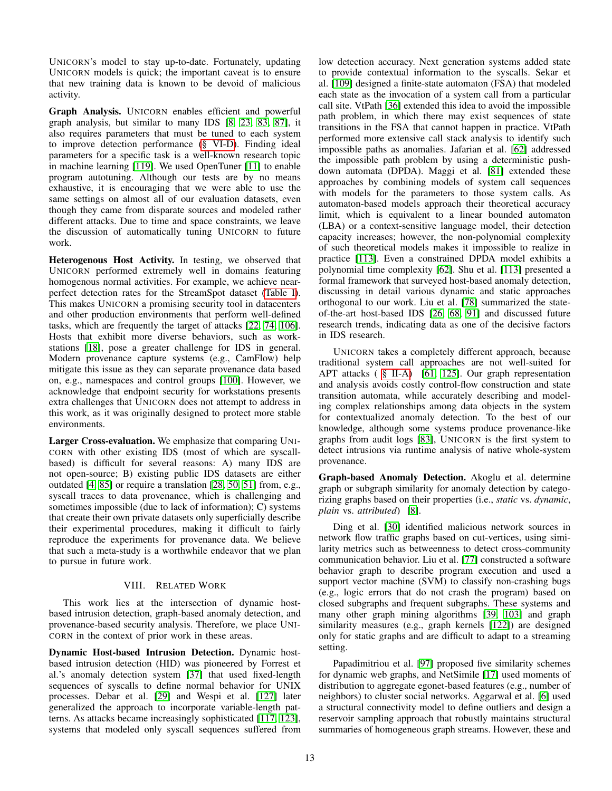UNICORN's model to stay up-to-date. Fortunately, updating UNICORN models is quick; the important caveat is to ensure that new training data is known to be devoid of malicious activity.

Graph Analysis. UNICORN enables efficient and powerful graph analysis, but similar to many IDS [\[8,](#page-14-20) [23,](#page-14-7) [83,](#page-15-1) [87\]](#page-15-2), it also requires parameters that must be tuned to each system to improve detection performance [\(§ VI-D\)](#page-8-0). Finding ideal parameters for a specific task is a well-known research topic in machine learning [\[119\]](#page-16-35). We used OpenTuner [\[11\]](#page-14-27) to enable program autotuning. Although our tests are by no means exhaustive, it is encouraging that we were able to use the same settings on almost all of our evaluation datasets, even though they came from disparate sources and modeled rather different attacks. Due to time and space constraints, we leave the discussion of automatically tuning UNICORN to future work.

Heterogenous Host Activity. In testing, we observed that UNICORN performed extremely well in domains featuring homogenous normal activities. For example, we achieve nearperfect detection rates for the StreamSpot dataset [\(Table I\)](#page-6-2). This makes UNICORN a promising security tool in datacenters and other production environments that perform well-defined tasks, which are frequently the target of attacks [\[22,](#page-14-28) [74,](#page-15-34) [106\]](#page-16-36). Hosts that exhibit more diverse behaviors, such as workstations [\[18\]](#page-14-29), pose a greater challenge for IDS in general. Modern provenance capture systems (e.g., CamFlow) help mitigate this issue as they can separate provenance data based on, e.g., namespaces and control groups [\[100\]](#page-16-8). However, we acknowledge that endpoint security for workstations presents extra challenges that UNICORN does not attempt to address in this work, as it was originally designed to protect more stable environments.

Larger Cross-evaluation. We emphasize that comparing UNI-CORN with other existing IDS (most of which are syscallbased) is difficult for several reasons: A) many IDS are not open-source; B) existing public IDS datasets are either outdated [\[4,](#page-14-30) [85\]](#page-15-35) or require a translation [\[28,](#page-14-31) [50,](#page-15-36) [51\]](#page-15-37) from, e.g., syscall traces to data provenance, which is challenging and sometimes impossible (due to lack of information); C) systems that create their own private datasets only superficially describe their experimental procedures, making it difficult to fairly reproduce the experiments for provenance data. We believe that such a meta-study is a worthwhile endeavor that we plan to pursue in future work.

# VIII. RELATED WORK

<span id="page-12-0"></span>This work lies at the intersection of dynamic hostbased intrusion detection, graph-based anomaly detection, and provenance-based security analysis. Therefore, we place UNI-CORN in the context of prior work in these areas.

Dynamic Host-based Intrusion Detection. Dynamic hostbased intrusion detection (HID) was pioneered by Forrest et al.'s anomaly detection system [\[37\]](#page-14-6) that used fixed-length sequences of syscalls to define normal behavior for UNIX processes. Debar et al. [\[29\]](#page-14-32) and Wespi et al. [\[127\]](#page-16-37) later generalized the approach to incorporate variable-length patterns. As attacks became increasingly sophisticated [\[117,](#page-16-38) [123\]](#page-16-10), systems that modeled only syscall sequences suffered from low detection accuracy. Next generation systems added state to provide contextual information to the syscalls. Sekar et al. [\[109\]](#page-16-5) designed a finite-state automaton (FSA) that modeled each state as the invocation of a system call from a particular call site. VtPath [\[36\]](#page-14-2) extended this idea to avoid the impossible path problem, in which there may exist sequences of state transitions in the FSA that cannot happen in practice. VtPath performed more extensive call stack analysis to identify such impossible paths as anomalies. Jafarian et al. [\[62\]](#page-15-24) addressed the impossible path problem by using a deterministic pushdown automata (DPDA). Maggi et al. [\[81\]](#page-15-0) extended these approaches by combining models of system call sequences with models for the parameters to those system calls. As automaton-based models approach their theoretical accuracy limit, which is equivalent to a linear bounded automaton (LBA) or a context-sensitive language model, their detection capacity increases; however, the non-polynomial complexity of such theoretical models makes it impossible to realize in practice [\[113\]](#page-16-39). Even a constrained DPDA model exhibits a polynomial time complexity [\[62\]](#page-15-24). Shu et al. [\[113\]](#page-16-39) presented a formal framework that surveyed host-based anomaly detection, discussing in detail various dynamic and static approaches orthogonal to our work. Liu et al. [\[78\]](#page-15-27) summarized the stateof-the-art host-based IDS [\[26,](#page-14-33) [68,](#page-15-38) [91\]](#page-16-40) and discussed future research trends, indicating data as one of the decisive factors in IDS research.

UNICORN takes a completely different approach, because traditional system call approaches are not well-suited for APT attacks ( [§ II-A\)](#page-1-0) [\[61,](#page-15-5) [125\]](#page-16-12). Our graph representation and analysis avoids costly control-flow construction and state transition automata, while accurately describing and modeling complex relationships among data objects in the system for contextualized anomaly detection. To the best of our knowledge, although some systems produce provenance-like graphs from audit logs [\[83\]](#page-15-1), UNICORN is the first system to detect intrusions via runtime analysis of native whole-system provenance.

Graph-based Anomaly Detection. Akoglu et al. determine graph or subgraph similarity for anomaly detection by categorizing graphs based on their properties (i.e., *static* vs. *dynamic*, *plain* vs. *attributed*) [\[8\]](#page-14-20).

Ding et al. [\[30\]](#page-14-34) identified malicious network sources in network flow traffic graphs based on cut-vertices, using similarity metrics such as betweenness to detect cross-community communication behavior. Liu et al. [\[77\]](#page-15-39) constructed a software behavior graph to describe program execution and used a support vector machine (SVM) to classify non-crashing bugs (e.g., logic errors that do not crash the program) based on closed subgraphs and frequent subgraphs. These systems and many other graph mining algorithms [\[39,](#page-15-40) [103\]](#page-16-41) and graph similarity measures (e.g., graph kernels [\[122\]](#page-16-21)) are designed only for static graphs and are difficult to adapt to a streaming setting.

Papadimitriou et al. [\[97\]](#page-16-42) proposed five similarity schemes for dynamic web graphs, and NetSimile [\[17\]](#page-14-35) used moments of distribution to aggregate egonet-based features (e.g., number of neighbors) to cluster social networks. Aggarwal et al. [\[6\]](#page-14-36) used a structural connectivity model to define outliers and design a reservoir sampling approach that robustly maintains structural summaries of homogeneous graph streams. However, these and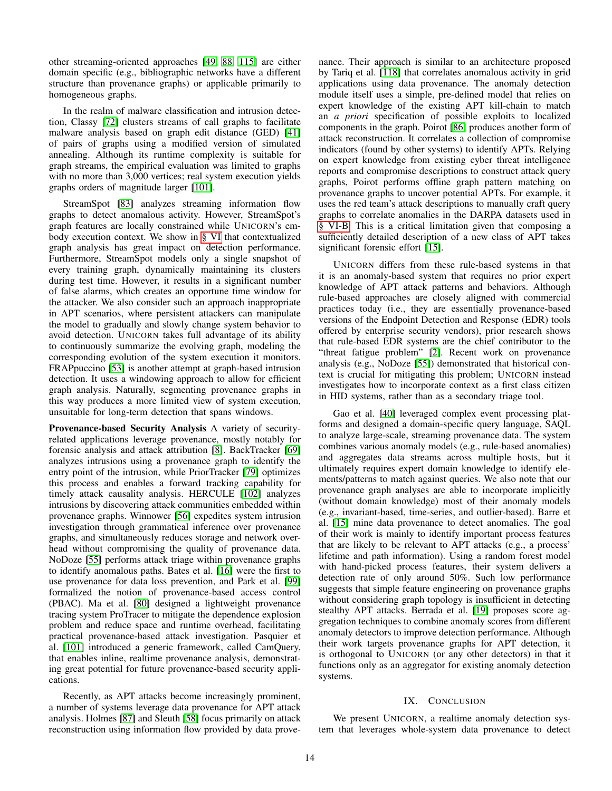other streaming-oriented approaches [\[49,](#page-15-41) [88,](#page-15-42) [115\]](#page-16-43) are either domain specific (e.g., bibliographic networks have a different structure than provenance graphs) or applicable primarily to homogeneous graphs.

In the realm of malware classification and intrusion detection, Classy [\[72\]](#page-15-43) clusters streams of call graphs to facilitate malware analysis based on graph edit distance (GED) [\[41\]](#page-15-44) of pairs of graphs using a modified version of simulated annealing. Although its runtime complexity is suitable for graph streams, the empirical evaluation was limited to graphs with no more than 3,000 vertices; real system execution yields graphs orders of magnitude larger [\[101\]](#page-16-15).

StreamSpot [\[83\]](#page-15-1) analyzes streaming information flow graphs to detect anomalous activity. However, StreamSpot's graph features are locally constrained while UNICORN's embody execution context. We show in [§ VI](#page-6-0) that contextualized graph analysis has great impact on detection performance. Furthermore, StreamSpot models only a single snapshot of every training graph, dynamically maintaining its clusters during test time. However, it results in a significant number of false alarms, which creates an opportune time window for the attacker. We also consider such an approach inappropriate in APT scenarios, where persistent attackers can manipulate the model to gradually and slowly change system behavior to avoid detection. UNICORN takes full advantage of its ability to continuously summarize the evolving graph, modeling the corresponding evolution of the system execution it monitors. FRAPpuccino [\[53\]](#page-15-4) is another attempt at graph-based intrusion detection. It uses a windowing approach to allow for efficient graph analysis. Naturally, segmenting provenance graphs in this way produces a more limited view of system execution, unsuitable for long-term detection that spans windows.

Provenance-based Security Analysis A variety of securityrelated applications leverage provenance, mostly notably for forensic analysis and attack attribution [\[8\]](#page-14-20). BackTracker [\[69\]](#page-15-45) analyzes intrusions using a provenance graph to identify the entry point of the intrusion, while PriorTracker [\[79\]](#page-15-13) optimizes this process and enables a forward tracking capability for timely attack causality analysis. HERCULE [\[102\]](#page-16-18) analyzes intrusions by discovering attack communities embedded within provenance graphs. Winnower [\[56\]](#page-15-46) expedites system intrusion investigation through grammatical inference over provenance graphs, and simultaneously reduces storage and network overhead without compromising the quality of provenance data. NoDoze [\[55\]](#page-15-3) performs attack triage within provenance graphs to identify anomalous paths. Bates et al. [\[16\]](#page-14-9) were the first to use provenance for data loss prevention, and Park et al. [\[99\]](#page-16-44) formalized the notion of provenance-based access control (PBAC). Ma et al. [\[80\]](#page-15-47) designed a lightweight provenance tracing system ProTracer to mitigate the dependence explosion problem and reduce space and runtime overhead, facilitating practical provenance-based attack investigation. Pasquier et al. [\[101\]](#page-16-15) introduced a generic framework, called CamQuery, that enables inline, realtime provenance analysis, demonstrating great potential for future provenance-based security applications.

Recently, as APT attacks become increasingly prominent, a number of systems leverage data provenance for APT attack analysis. Holmes [\[87\]](#page-15-2) and Sleuth [\[58\]](#page-15-48) focus primarily on attack reconstruction using information flow provided by data provenance. Their approach is similar to an architecture proposed by Tariq et al. [\[118\]](#page-16-45) that correlates anomalous activity in grid applications using data provenance. The anomaly detection module itself uses a simple, pre-defined model that relies on expert knowledge of the existing APT kill-chain to match an *a priori* specification of possible exploits to localized components in the graph. Poirot [\[86\]](#page-15-30) produces another form of attack reconstruction. It correlates a collection of compromise indicators (found by other systems) to identify APTs. Relying on expert knowledge from existing cyber threat intelligence reports and compromise descriptions to construct attack query graphs, Poirot performs offline graph pattern matching on provenance graphs to uncover potential APTs. For example, it uses the red team's attack descriptions to manually craft query graphs to correlate anomalies in the DARPA datasets used in [§ VI-B.](#page-7-0) This is a critical limitation given that composing a sufficiently detailed description of a new class of APT takes significant forensic effort [\[15\]](#page-14-3).

UNICORN differs from these rule-based systems in that it is an anomaly-based system that requires no prior expert knowledge of APT attack patterns and behaviors. Although rule-based approaches are closely aligned with commercial practices today (i.e., they are essentially provenance-based versions of the Endpoint Detection and Response (EDR) tools offered by enterprise security vendors), prior research shows that rule-based EDR systems are the chief contributor to the "threat fatigue problem" [\[2\]](#page-14-26). Recent work on provenance analysis (e.g., NoDoze [\[55\]](#page-15-3)) demonstrated that historical context is crucial for mitigating this problem; UNICORN instead investigates how to incorporate context as a first class citizen in HID systems, rather than as a secondary triage tool.

Gao et al. [\[40\]](#page-15-12) leveraged complex event processing platforms and designed a domain-specific query language, SAQL to analyze large-scale, streaming provenance data. The system combines various anomaly models (e.g., rule-based anomalies) and aggregates data streams across multiple hosts, but it ultimately requires expert domain knowledge to identify elements/patterns to match against queries. We also note that our provenance graph analyses are able to incorporate implicitly (without domain knowledge) most of their anomaly models (e.g., invariant-based, time-series, and outlier-based). Barre et al. [\[15\]](#page-14-3) mine data provenance to detect anomalies. The goal of their work is mainly to identify important process features that are likely to be relevant to APT attacks (e.g., a process' lifetime and path information). Using a random forest model with hand-picked process features, their system delivers a detection rate of only around 50%. Such low performance suggests that simple feature engineering on provenance graphs without considering graph topology is insufficient in detecting stealthy APT attacks. Berrada et al. [\[19\]](#page-14-4) proposes score aggregation techniques to combine anomaly scores from different anomaly detectors to improve detection performance. Although their work targets provenance graphs for APT detection, it is orthogonal to UNICORN (or any other detectors) in that it functions only as an aggregator for existing anomaly detection systems.

## IX. CONCLUSION

We present UNICORN, a realtime anomaly detection system that leverages whole-system data provenance to detect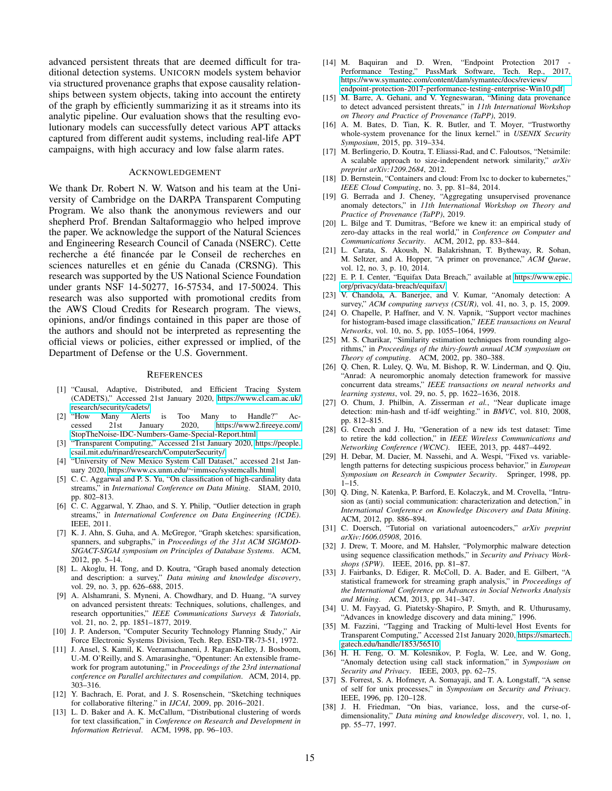advanced persistent threats that are deemed difficult for traditional detection systems. UNICORN models system behavior via structured provenance graphs that expose causality relationships between system objects, taking into account the entirety of the graph by efficiently summarizing it as it streams into its analytic pipeline. Our evaluation shows that the resulting evolutionary models can successfully detect various APT attacks captured from different audit systems, including real-life APT campaigns, with high accuracy and low false alarm rates.

#### ACKNOWLEDGEMENT

We thank Dr. Robert N. W. Watson and his team at the University of Cambridge on the DARPA Transparent Computing Program. We also thank the anonymous reviewers and our shepherd Prof. Brendan Saltaformaggio who helped improve the paper. We acknowledge the support of the Natural Sciences and Engineering Research Council of Canada (NSERC). Cette recherche a été financée par le Conseil de recherches en sciences naturelles et en génie du Canada (CRSNG). This research was supported by the US National Science Foundation under grants NSF 14-50277, 16-57534, and 17-50024. This research was also supported with promotional credits from the AWS Cloud Credits for Research program. The views, opinions, and/or findings contained in this paper are those of the authors and should not be interpreted as representing the official views or policies, either expressed or implied, of the Department of Defense or the U.S. Government.

#### **REFERENCES**

- <span id="page-14-21"></span>[1] "Causal, Adaptive, Distributed, and Efficient Tracing System (CADETS)," Accessed 21st January 2020, [https://www.cl.cam.ac.uk/](https://www.cl.cam.ac.uk/research/security/cadets/) [research/security/cadets/.](https://www.cl.cam.ac.uk/research/security/cadets/)<br>[2] "How Many Alerts
- <span id="page-14-26"></span>Many Alerts is Too Many to Handle?" Ac-<br>21st January 2020, https://www2.fireeve.com/ cessed 21st January 2020, [https://www2.fireeye.com/](https://www2.fireeye.com/StopTheNoise-IDC-Numbers-Game-Special-Report.html) [StopTheNoise-IDC-Numbers-Game-Special-Report.html.](https://www2.fireeye.com/StopTheNoise-IDC-Numbers-Game-Special-Report.html)
- <span id="page-14-22"></span>[3] "Transparent Computing," Accessed 21st January 2020, [https://people.](https://people.csail.mit.edu/rinard/research/ComputerSecurity/) [csail.mit.edu/rinard/research/ComputerSecurity/.](https://people.csail.mit.edu/rinard/research/ComputerSecurity/)
- <span id="page-14-30"></span>[4] "University of New Mexico System Call Dataset," accessed 21st January 2020, https://www.cs.unm.edu/∼[immsec/systemcalls.html.](https://www.cs.unm.edu/~immsec/systemcalls.html)
- <span id="page-14-16"></span>[5] C. C. Aggarwal and P. S. Yu, "On classification of high-cardinality data streams," in *International Conference on Data Mining*. SIAM, 2010, pp. 802–813.
- <span id="page-14-36"></span>[6] C. C. Aggarwal, Y. Zhao, and S. Y. Philip, "Outlier detection in graph streams," in *International Conference on Data Engineering (ICDE)*. IEEE, 2011.
- <span id="page-14-11"></span>[7] K. J. Ahn, S. Guha, and A. McGregor, "Graph sketches: sparsification, spanners, and subgraphs," in *Proceedings of the 31st ACM SIGMOD-SIGACT-SIGAI symposium on Principles of Database Systems*. ACM, 2012, pp. 5–14.
- <span id="page-14-20"></span>[8] L. Akoglu, H. Tong, and D. Koutra, "Graph based anomaly detection and description: a survey," *Data mining and knowledge discovery*, vol. 29, no. 3, pp. 626–688, 2015.
- <span id="page-14-0"></span>[9] A. Alshamrani, S. Myneni, A. Chowdhary, and D. Huang, "A survey on advanced persistent threats: Techniques, solutions, challenges, and research opportunities," *IEEE Communications Surveys & Tutorials*, vol. 21, no. 2, pp. 1851–1877, 2019.
- <span id="page-14-10"></span>[10] J. P. Anderson, "Computer Security Technology Planning Study," Air Force Electronic Systems Division, Tech. Rep. ESD-TR-73-51, 1972.
- <span id="page-14-27"></span>[11] J. Ansel, S. Kamil, K. Veeramachaneni, J. Ragan-Kelley, J. Bosboom, U.-M. O'Reilly, and S. Amarasinghe, "Opentuner: An extensible framework for program autotuning," in *Proceedings of the 23rd international conference on Parallel architectures and compilation*. ACM, 2014, pp. 303–316.
- <span id="page-14-17"></span>[12] Y. Bachrach, E. Porat, and J. S. Rosenschein, "Sketching techniques for collaborative filtering." in *IJCAI*, 2009, pp. 2016–2021.
- <span id="page-14-12"></span>[13] L. D. Baker and A. K. McCallum, "Distributional clustering of words for text classification," in *Conference on Research and Development in Information Retrieval*. ACM, 1998, pp. 96–103.
- <span id="page-14-25"></span>[14] M. Baquiran and D. Wren, "Endpoint Protection 2017 Performance Testing," PassMark Software, Tech. Rep., 2017, [https://www.symantec.com/content/dam/symantec/docs/reviews/](https://www.symantec.com/content/dam/symantec/docs/reviews/endpoint-protection-2017-performance-testing-enterprise-Win10.pdf) [endpoint-protection-2017-performance-testing-enterprise-Win10.pdf.](https://www.symantec.com/content/dam/symantec/docs/reviews/endpoint-protection-2017-performance-testing-enterprise-Win10.pdf)
- <span id="page-14-3"></span>[15] M. Barre, A. Gehani, and V. Yegneswaran, "Mining data provenance to detect advanced persistent threats," in *11th International Workshop on Theory and Practice of Provenance (TaPP)*, 2019.
- <span id="page-14-9"></span>[16] A. M. Bates, D. Tian, K. R. Butler, and T. Moyer, "Trustworthy whole-system provenance for the linux kernel." in *USENIX Security Symposium*, 2015, pp. 319–334.
- <span id="page-14-35"></span>[17] M. Berlingerio, D. Koutra, T. Eliassi-Rad, and C. Faloutsos, "Netsimile: A scalable approach to size-independent network similarity," *arXiv preprint arXiv:1209.2684*, 2012.
- <span id="page-14-29"></span>[18] D. Bernstein, "Containers and cloud: From lxc to docker to kubernetes," *IEEE Cloud Computing*, no. 3, pp. 81–84, 2014.
- <span id="page-14-4"></span>[19] G. Berrada and J. Cheney, "Aggregating unsupervised provenance anomaly detectors," in *11th International Workshop on Theory and Practice of Provenance (TaPP)*, 2019.
- <span id="page-14-1"></span>[20] L. Bilge and T. Dumitras, "Before we knew it: an empirical study of zero-day attacks in the real world," in *Conference on Computer and Communications Security*. ACM, 2012, pp. 833–844.
- <span id="page-14-8"></span>[21] L. Carata, S. Akoush, N. Balakrishnan, T. Bytheway, R. Sohan, M. Seltzer, and A. Hopper, "A primer on provenance," *ACM Queue*, vol. 12, no. 3, p. 10, 2014.
- <span id="page-14-28"></span>[22] E. P. I. Center, "Equifax Data Breach," available at [https://www.epic.](https://www.epic.org/privacy/data-breach/equifax/) [org/privacy/data-breach/equifax/.](https://www.epic.org/privacy/data-breach/equifax/)
- <span id="page-14-7"></span>[23] V. Chandola, A. Banerjee, and V. Kumar, "Anomaly detection: A survey," *ACM computing surveys (CSUR)*, vol. 41, no. 3, p. 15, 2009.
- <span id="page-14-13"></span>[24] O. Chapelle, P. Haffner, and V. N. Vapnik, "Support vector machines for histogram-based image classification," *IEEE transactions on Neural Networks*, vol. 10, no. 5, pp. 1055–1064, 1999.
- <span id="page-14-37"></span>[25] M. S. Charikar, "Similarity estimation techniques from rounding algorithms," in *Proceedings of the thiry-fourth annual ACM symposium on Theory of computing*. ACM, 2002, pp. 380–388.
- <span id="page-14-33"></span>[26] Q. Chen, R. Luley, Q. Wu, M. Bishop, R. W. Linderman, and Q. Qiu, "Anrad: A neuromorphic anomaly detection framework for massive concurrent data streams," *IEEE transactions on neural networks and learning systems*, vol. 29, no. 5, pp. 1622–1636, 2018.
- <span id="page-14-18"></span>[27] O. Chum, J. Philbin, A. Zisserman *et al.*, "Near duplicate image detection: min-hash and tf-idf weighting." in *BMVC*, vol. 810, 2008, pp. 812–815.
- <span id="page-14-31"></span>[28] G. Creech and J. Hu, "Generation of a new ids test dataset: Time to retire the kdd collection," in *IEEE Wireless Communications and Networking Conference (WCNC)*. IEEE, 2013, pp. 4487–4492.
- <span id="page-14-32"></span>[29] H. Debar, M. Dacier, M. Nassehi, and A. Wespi, "Fixed vs. variablelength patterns for detecting suspicious process behavior," in *European Symposium on Research in Computer Security*. Springer, 1998, pp.  $1 - 15$ .
- <span id="page-14-34"></span>[30] Q. Ding, N. Katenka, P. Barford, E. Kolaczyk, and M. Crovella, "Intrusion as (anti) social communication: characterization and detection," in *International Conference on Knowledge Discovery and Data Mining*. ACM, 2012, pp. 886–894.
- <span id="page-14-14"></span>[31] C. Doersch, "Tutorial on variational autoencoders," *arXiv preprint arXiv:1606.05908*, 2016.
- <span id="page-14-19"></span>[32] J. Drew, T. Moore, and M. Hahsler, "Polymorphic malware detection using sequence classification methods," in *Security and Privacy Workshops (SPW)*. IEEE, 2016, pp. 81–87.
- <span id="page-14-5"></span>[33] J. Fairbanks, D. Ediger, R. McColl, D. A. Bader, and E. Gilbert, "A statistical framework for streaming graph analysis," in *Proceedings of the International Conference on Advances in Social Networks Analysis and Mining*. ACM, 2013, pp. 341–347.
- <span id="page-14-15"></span>[34] U. M. Fayyad, G. Piatetsky-Shapiro, P. Smyth, and R. Uthurusamy, "Advances in knowledge discovery and data mining," 1996.
- <span id="page-14-23"></span>[35] M. Fazzini, "Tagging and Tracking of Multi-level Host Events for Transparent Computing," Accessed 21st January 2020, [https://smartech.](https://smartech.gatech.edu/handle/1853/56510) [gatech.edu/handle/1853/56510.](https://smartech.gatech.edu/handle/1853/56510)
- <span id="page-14-2"></span>[36] H. H. Feng, O. M. Kolesnikov, P. Fogla, W. Lee, and W. Gong, "Anomaly detection using call stack information," in *Symposium on Security and Privacy*. IEEE, 2003, pp. 62–75.
- <span id="page-14-6"></span>[37] S. Forrest, S. A. Hofmeyr, A. Somayaji, and T. A. Longstaff, "A sense of self for unix processes," in *Symposium on Security and Privacy*. IEEE, 1996, pp. 120–128.
- <span id="page-14-24"></span>[38] J. H. Friedman, "On bias, variance, loss, and the curse-ofdimensionality," *Data mining and knowledge discovery*, vol. 1, no. 1, pp. 55–77, 1997.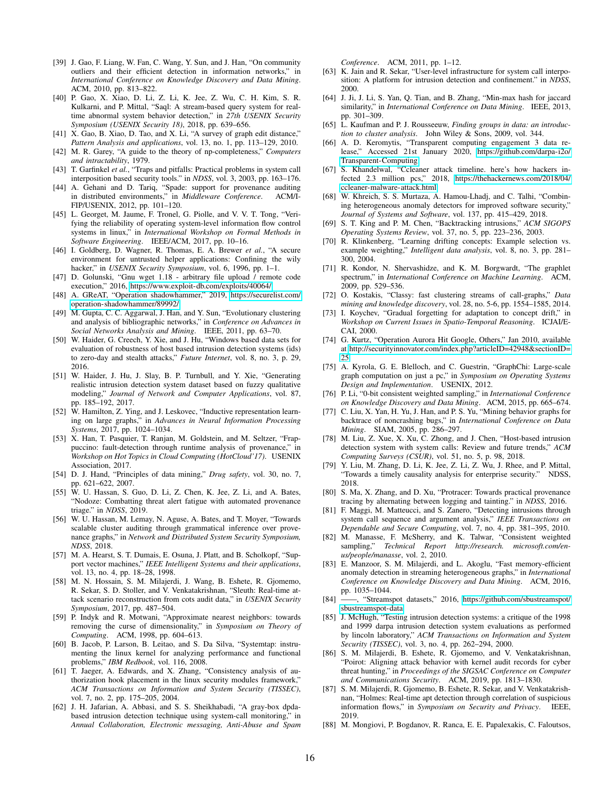- <span id="page-15-40"></span>[39] J. Gao, F. Liang, W. Fan, C. Wang, Y. Sun, and J. Han, "On community outliers and their efficient detection in information networks," in *International Conference on Knowledge Discovery and Data Mining*. ACM, 2010, pp. 813–822.
- <span id="page-15-12"></span>[40] P. Gao, X. Xiao, D. Li, Z. Li, K. Jee, Z. Wu, C. H. Kim, S. R. Kulkarni, and P. Mittal, "Saql: A stream-based query system for realtime abnormal system behavior detection," in *27th USENIX Security Symposium (USENIX Security 18)*, 2018, pp. 639–656.
- <span id="page-15-44"></span>[41] X. Gao, B. Xiao, D. Tao, and X. Li, "A survey of graph edit distance," *Pattern Analysis and applications*, vol. 13, no. 1, pp. 113–129, 2010.
- <span id="page-15-14"></span>[42] M. R. Garey, "A guide to the theory of np-completeness," *Computers and intractability*, 1979.
- <span id="page-15-7"></span>[43] T. Garfinkel et al., "Traps and pitfalls: Practical problems in system call interposition based security tools." in *NDSS*, vol. 3, 2003, pp. 163–176.
- <span id="page-15-6"></span>[44] A. Gehani and D. Tariq, "Spade: support for provenance auditing in distributed environments," in *Middleware Conference*. ACM/I-FIP/USENIX, 2012, pp. 101–120.
- <span id="page-15-10"></span>[45] L. Georget, M. Jaume, F. Tronel, G. Piolle, and V. V. T. Tong, "Verifying the reliability of operating system-level information flow control systems in linux," in *International Workshop on Formal Methods in Software Engineering*. IEEE/ACM, 2017, pp. 10–16.
- <span id="page-15-9"></span>[46] I. Goldberg, D. Wagner, R. Thomas, E. A. Brewer *et al.*, "A secure environment for untrusted helper applications: Confining the wily hacker," in *USENIX Security Symposium*, vol. 6, 1996, pp. 1–1.
- <span id="page-15-31"></span>[47] D. Golunski, "Gnu wget 1.18 - arbitrary file upload / remote code execution," 2016, [https://www.exploit-db.com/exploits/40064/.](https://www.exploit-db.com/exploits/40064/)
- <span id="page-15-32"></span>[48] A. GReAT, "Operation shadowhammer," 2019, [https://securelist.com/](https://securelist.com/operation-shadowhammer/89992/) [operation-shadowhammer/89992/.](https://securelist.com/operation-shadowhammer/89992/)
- <span id="page-15-41"></span>[49] M. Gupta, C. C. Aggarwal, J. Han, and Y. Sun, "Evolutionary clustering and analysis of bibliographic networks," in *Conference on Advances in Social Networks Analysis and Mining*. IEEE, 2011, pp. 63–70.
- <span id="page-15-36"></span>[50] W. Haider, G. Creech, Y. Xie, and J. Hu, "Windows based data sets for evaluation of robustness of host based intrusion detection systems (ids) to zero-day and stealth attacks," *Future Internet*, vol. 8, no. 3, p. 29, 2016.
- <span id="page-15-37"></span>[51] W. Haider, J. Hu, J. Slay, B. P. Turnbull, and Y. Xie, "Generating realistic intrusion detection system dataset based on fuzzy qualitative modeling," *Journal of Network and Computer Applications*, vol. 87, pp. 185–192, 2017.
- <span id="page-15-16"></span>[52] W. Hamilton, Z. Ying, and J. Leskovec, "Inductive representation learning on large graphs," in *Advances in Neural Information Processing Systems*, 2017, pp. 1024–1034.
- <span id="page-15-4"></span>[53] X. Han, T. Pasquier, T. Ranjan, M. Goldstein, and M. Seltzer, "Frappuccino: fault-detection through runtime analysis of provenance," in *Workshop on Hot Topics in Cloud Computing (HotCloud'17)*. USENIX Association, 2017.
- <span id="page-15-20"></span>[54] D. J. Hand, "Principles of data mining," *Drug safety*, vol. 30, no. 7, pp. 621–622, 2007.
- <span id="page-15-3"></span>[55] W. U. Hassan, S. Guo, D. Li, Z. Chen, K. Jee, Z. Li, and A. Bates, "Nodoze: Combatting threat alert fatigue with automated provenance triage." in *NDSS*, 2019.
- <span id="page-15-46"></span>[56] W. U. Hassan, M. Lemay, N. Aguse, A. Bates, and T. Moyer, "Towards scalable cluster auditing through grammatical inference over provenance graphs," in *Network and Distributed System Security Symposium, NDSS*, 2018.
- <span id="page-15-19"></span>[57] M. A. Hearst, S. T. Dumais, E. Osuna, J. Platt, and B. Scholkopf, "Support vector machines," *IEEE Intelligent Systems and their applications*, vol. 13, no. 4, pp. 18–28, 1998.
- <span id="page-15-48"></span>[58] M. N. Hossain, S. M. Milajerdi, J. Wang, B. Eshete, R. Gjomemo, R. Sekar, S. D. Stoller, and V. Venkatakrishnan, "Sleuth: Real-time attack scenario reconstruction from cots audit data," in *USENIX Security Symposium*, 2017, pp. 487–504.
- <span id="page-15-21"></span>[59] P. Indyk and R. Motwani, "Approximate nearest neighbors: towards removing the curse of dimensionality," in *Symposium on Theory of Computing*. ACM, 1998, pp. 604–613.
- <span id="page-15-29"></span>[60] B. Jacob, P. Larson, B. Leitao, and S. Da Silva, "Systemtap: instrumenting the linux kernel for analyzing performance and functional problems," *IBM Redbook*, vol. 116, 2008.
- <span id="page-15-5"></span>[61] T. Jaeger, A. Edwards, and X. Zhang, "Consistency analysis of authorization hook placement in the linux security modules framework,' *ACM Transactions on Information and System Security (TISSEC)*, vol. 7, no. 2, pp. 175–205, 2004.
- <span id="page-15-24"></span>[62] J. H. Jafarian, A. Abbasi, and S. S. Sheikhabadi, "A gray-box dpdabased intrusion detection technique using system-call monitoring," in *Annual Collaboration, Electronic messaging, Anti-Abuse and Spam*

*Conference*. ACM, 2011, pp. 1–12.

- <span id="page-15-8"></span>[63] K. Jain and R. Sekar, "User-level infrastructure for system call interposition: A platform for intrusion detection and confinement." in *NDSS*, 2000.
- <span id="page-15-11"></span>[64] J. Ji, J. Li, S. Yan, Q. Tian, and B. Zhang, "Min-max hash for jaccard similarity," in *International Conference on Data Mining*. IEEE, 2013, pp. 301–309.
- <span id="page-15-23"></span>[65] L. Kaufman and P. J. Rousseeuw, *Finding groups in data: an introduction to cluster analysis*. John Wiley & Sons, 2009, vol. 344.
- <span id="page-15-26"></span>[66] A. D. Keromytis, "Transparent computing engagement 3 data release," Accessed 21st January 2020, [https://github.com/darpa-i2o/](https://github.com/darpa-i2o/Transparent-Computing) [Transparent-Computing.](https://github.com/darpa-i2o/Transparent-Computing)
- <span id="page-15-33"></span>[67] S. Khandelwal, "Ccleaner attack timeline. here's how hackers infected 2.3 million pcs," 2018, [https://thehackernews.com/2018/04/](https://thehackernews.com/2018/04/ccleaner-malware-attack.html) [ccleaner-malware-attack.html.](https://thehackernews.com/2018/04/ccleaner-malware-attack.html)
- <span id="page-15-38"></span>[68] W. Khreich, S. S. Murtaza, A. Hamou-Lhadj, and C. Talhi, "Combining heterogeneous anomaly detectors for improved software security," *Journal of Systems and Software*, vol. 137, pp. 415–429, 2018.
- <span id="page-15-45"></span>[69] S. T. King and P. M. Chen, "Backtracking intrusions," *ACM SIGOPS Operating Systems Review*, vol. 37, no. 5, pp. 223–236, 2003.
- <span id="page-15-17"></span>[70] R. Klinkenberg, "Learning drifting concepts: Example selection vs. example weighting," *Intelligent data analysis*, vol. 8, no. 3, pp. 281– 300, 2004.
- <span id="page-15-15"></span>[71] R. Kondor, N. Shervashidze, and K. M. Borgwardt, "The graphlet spectrum," in *International Conference on Machine Learning*. ACM, 2009, pp. 529–536.
- <span id="page-15-43"></span>[72] O. Kostakis, "Classy: fast clustering streams of call-graphs," *Data mining and knowledge discovery*, vol. 28, no. 5-6, pp. 1554–1585, 2014.
- <span id="page-15-18"></span>[73] I. Koychev, "Gradual forgetting for adaptation to concept drift," in *Workshop on Current Issues in Spatio-Temporal Reasoning*. ICJAI/E-CAI, 2000.
- <span id="page-15-34"></span>[74] G. Kurtz, "Operation Aurora Hit Google, Others," Jan 2010, available at [http://securityinnovator.com/index.php?articleID=42948&sectionID=](http://securityinnovator.com/index.php?articleID=42948§ionID=25) [25.](http://securityinnovator.com/index.php?articleID=42948§ionID=25)
- <span id="page-15-25"></span>[75] A. Kyrola, G. E. Blelloch, and C. Guestrin, "GraphChi: Large-scale graph computation on just a pc," in *Symposium on Operating Systems Design and Implementation*. USENIX, 2012.
- <span id="page-15-49"></span>[76] P. Li, "0-bit consistent weighted sampling," in *International Conference on Knowledge Discovery and Data Mining*. ACM, 2015, pp. 665–674.
- <span id="page-15-39"></span>[77] C. Liu, X. Yan, H. Yu, J. Han, and P. S. Yu, "Mining behavior graphs for backtrace of noncrashing bugs," in *International Conference on Data Mining*. SIAM, 2005, pp. 286–297.
- <span id="page-15-27"></span>[78] M. Liu, Z. Xue, X. Xu, C. Zhong, and J. Chen, "Host-based intrusion detection system with system calls: Review and future trends," *ACM Computing Surveys (CSUR)*, vol. 51, no. 5, p. 98, 2018.
- <span id="page-15-13"></span>[79] Y. Liu, M. Zhang, D. Li, K. Jee, Z. Li, Z. Wu, J. Rhee, and P. Mittal, "Towards a timely causality analysis for enterprise security." NDSS, 2018.
- <span id="page-15-47"></span>[80] S. Ma, X. Zhang, and D. Xu, "Protracer: Towards practical provenance tracing by alternating between logging and tainting." in *NDSS*, 2016.
- <span id="page-15-0"></span>[81] F. Maggi, M. Matteucci, and S. Zanero, "Detecting intrusions through system call sequence and argument analysis," *IEEE Transactions on Dependable and Secure Computing*, vol. 7, no. 4, pp. 381–395, 2010.
- <span id="page-15-22"></span>[82] M. Manasse, F. McSherry, and K. Talwar, "Consistent weighted sampling," *Technical Report http://research. microsoft.com/enus/people/manasse*, vol. 2, 2010.
- <span id="page-15-1"></span>[83] E. Manzoor, S. M. Milajerdi, and L. Akoglu, "Fast memory-efficient anomaly detection in streaming heterogeneous graphs," in *International Conference on Knowledge Discovery and Data Mining*. ACM, 2016, pp. 1035–1044.
- <span id="page-15-28"></span>[84] ——, "Streamspot datasets," 2016, [https://github.com/sbustreamspot/](https://github.com/sbustreamspot/sbustreamspot-data) [sbustreamspot-data.](https://github.com/sbustreamspot/sbustreamspot-data)
- <span id="page-15-35"></span>[85] J. McHugh, "Testing intrusion detection systems: a critique of the 1998 and 1999 darpa intrusion detection system evaluations as performed by lincoln laboratory," *ACM Transactions on Information and System Security (TISSEC)*, vol. 3, no. 4, pp. 262–294, 2000.
- <span id="page-15-30"></span>[86] S. M. Milajerdi, B. Eshete, R. Gjomemo, and V. Venkatakrishnan, "Poirot: Aligning attack behavior with kernel audit records for cyber threat hunting," in *Proceedings of the SIGSAC Conference on Computer and Communications Security*. ACM, 2019, pp. 1813–1830.
- <span id="page-15-2"></span>[87] S. M. Milajerdi, R. Gjomemo, B. Eshete, R. Sekar, and V. Venkatakrishnan, "Holmes: Real-time apt detection through correlation of suspicious information flows," in *Symposium on Security and Privacy*. IEEE, 2019.
- <span id="page-15-42"></span>[88] M. Mongiovi, P. Bogdanov, R. Ranca, E. E. Papalexakis, C. Faloutsos,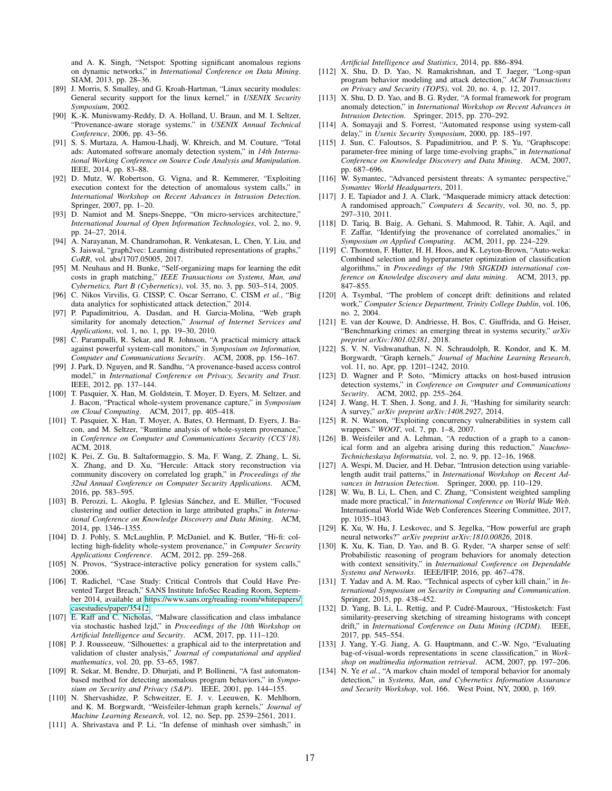and A. K. Singh, "Netspot: Spotting significant anomalous regions on dynamic networks," in *International Conference on Data Mining*. SIAM, 2013, pp. 28–36.

- <span id="page-16-14"></span>[89] J. Morris, S. Smalley, and G. Kroah-Hartman, "Linux security modules: General security support for the linux kernel," in *USENIX Security Symposium*, 2002.
- <span id="page-16-25"></span>[90] K.-K. Muniswamy-Reddy, D. A. Holland, U. Braun, and M. I. Seltzer, "Provenance-aware storage systems." in *USENIX Annual Technical Conference*, 2006, pp. 43–56.
- <span id="page-16-40"></span>[91] S. S. Murtaza, A. Hamou-Lhadj, W. Khreich, and M. Couture, "Total ads: Automated software anomaly detection system," in *14th International Working Conference on Source Code Analysis and Manipulation*. IEEE, 2014, pp. 83–88.
- <span id="page-16-4"></span>[92] D. Mutz, W. Robertson, G. Vigna, and R. Kemmerer, "Exploiting execution context for the detection of anomalous system calls," in *International Workshop on Recent Advances in Intrusion Detection*. Springer, 2007, pp. 1–20.
- <span id="page-16-34"></span>[93] D. Namiot and M. Sneps-Sneppe, "On micro-services architecture," *International Journal of Open Information Technologies*, vol. 2, no. 9, pp. 24–27, 2014.
- <span id="page-16-24"></span>[94] A. Narayanan, M. Chandramohan, R. Venkatesan, L. Chen, Y. Liu, and S. Jaiswal, "graph2vec: Learning distributed representations of graphs," *CoRR*, vol. abs/1707.05005, 2017.
- <span id="page-16-20"></span>[95] M. Neuhaus and H. Bunke, "Self-organizing maps for learning the edit costs in graph matching," *IEEE Transactions on Systems, Man, and Cybernetics, Part B (Cybernetics)*, vol. 35, no. 3, pp. 503–514, 2005.
- <span id="page-16-1"></span>[96] C. Nikos Virvilis, G. CISSP, C. Oscar Serrano, C. CISM *et al.*, "Big data analytics for sophisticated attack detection," 2014.
- <span id="page-16-42"></span>[97] P. Papadimitriou, A. Dasdan, and H. Garcia-Molina, "Web graph similarity for anomaly detection," *Journal of Internet Services and Applications*, vol. 1, no. 1, pp. 19–30, 2010.
- <span id="page-16-9"></span>[98] C. Parampalli, R. Sekar, and R. Johnson, "A practical mimicry attack against powerful system-call monitors," in *Symposium on Information, Computer and Communications Security*. ACM, 2008, pp. 156–167.
- <span id="page-16-44"></span>[99] J. Park, D. Nguyen, and R. Sandhu, "A provenance-based access control model," in *International Conference on Privacy, Security and Trust*. IEEE, 2012, pp. 137–144.
- <span id="page-16-8"></span>[100] T. Pasquier, X. Han, M. Goldstein, T. Moyer, D. Eyers, M. Seltzer, and J. Bacon, "Practical whole-system provenance capture," in *Symposium on Cloud Computing*. ACM, 2017, pp. 405–418.
- <span id="page-16-15"></span>[101] T. Pasquier, X. Han, T. Moyer, A. Bates, O. Hermant, D. Eyers, J. Bacon, and M. Seltzer, "Runtime analysis of whole-system provenance," in *Conference on Computer and Communications Security (CCS'18)*. ACM, 2018.
- <span id="page-16-18"></span>[102] K. Pei, Z. Gu, B. Saltaformaggio, S. Ma, F. Wang, Z. Zhang, L. Si, X. Zhang, and D. Xu, "Hercule: Attack story reconstruction via community discovery on correlated log graph," in *Proceedings of the 32nd Annual Conference on Computer Security Applications*. ACM, 2016, pp. 583–595.
- <span id="page-16-41"></span>[103] B. Perozzi, L. Akoglu, P. Iglesias Sánchez, and E. Müller, "Focused clustering and outlier detection in large attributed graphs," in *International Conference on Knowledge Discovery and Data Mining*. ACM, 2014, pp. 1346–1355.
- <span id="page-16-11"></span>[104] D. J. Pohly, S. McLaughlin, P. McDaniel, and K. Butler, "Hi-fi: collecting high-fidelity whole-system provenance," in *Computer Security Applications Conference*. ACM, 2012, pp. 259–268.
- <span id="page-16-13"></span>[105] N. Provos, "Systrace-interactive policy generation for system calls," 2006.
- <span id="page-16-36"></span>[106] T. Radichel, "Case Study: Critical Controls that Could Have Prevented Target Breach," SANS Institute InfoSec Reading Room, September 2014, available at [https://www.sans.org/reading-room/whitepapers/](https://www.sans.org/reading-room/whitepapers/casestudies/paper/35412) [casestudies/paper/35412.](https://www.sans.org/reading-room/whitepapers/casestudies/paper/35412)
- <span id="page-16-31"></span>[107] E. Raff and C. Nicholas, "Malware classification and class imbalance via stochastic hashed lzjd," in *Proceedings of the 10th Workshop on Artificial Intelligence and Security*. ACM, 2017, pp. 111–120.
- <span id="page-16-32"></span>[108] P. J. Rousseeuw, "Silhouettes: a graphical aid to the interpretation and validation of cluster analysis," *Journal of computational and applied mathematics*, vol. 20, pp. 53–65, 1987.
- <span id="page-16-5"></span>[109] R. Sekar, M. Bendre, D. Dhurjati, and P. Bollineni, "A fast automatonbased method for detecting anomalous program behaviors," in *Symposium on Security and Privacy (S&P)*. IEEE, 2001, pp. 144–155.
- <span id="page-16-19"></span>[110] N. Shervashidze, P. Schweitzer, E. J. v. Leeuwen, K. Mehlhorn, and K. M. Borgwardt, "Weisfeiler-lehman graph kernels," *Journal of Machine Learning Research*, vol. 12, no. Sep, pp. 2539–2561, 2011.
- <span id="page-16-30"></span>[111] A. Shrivastava and P. Li, "In defense of minhash over simhash," in

*Artificial Intelligence and Statistics*, 2014, pp. 886–894.

- <span id="page-16-6"></span>[112] X. Shu, D. D. Yao, N. Ramakrishnan, and T. Jaeger, "Long-span program behavior modeling and attack detection," *ACM Transactions on Privacy and Security (TOPS)*, vol. 20, no. 4, p. 12, 2017.
- <span id="page-16-39"></span>[113] X. Shu, D. D. Yao, and B. G. Ryder, "A formal framework for program anomaly detection," in *International Workshop on Recent Advances in Intrusion Detection*. Springer, 2015, pp. 270–292.
- <span id="page-16-2"></span>[114] A. Somayaji and S. Forrest, "Automated response using system-call delay," in *Usenix Security Symposium*, 2000, pp. 185–197.
- <span id="page-16-43"></span>[115] J. Sun, C. Faloutsos, S. Papadimitriou, and P. S. Yu, "Graphscope: parameter-free mining of large time-evolving graphs," in *International Conference on Knowledge Discovery and Data Mining*. ACM, 2007, pp. 687–696.
- <span id="page-16-0"></span>[116] W. Symantec, "Advanced persistent threats: A symantec perspective," *Symantec World Headquarters*, 2011.
- <span id="page-16-38"></span>[117] J. E. Tapiador and J. A. Clark, "Masquerade mimicry attack detection: A randomised approach," *Computers & Security*, vol. 30, no. 5, pp. 297–310, 2011.
- <span id="page-16-45"></span>[118] D. Tariq, B. Baig, A. Gehani, S. Mahmood, R. Tahir, A. Aqil, and F. Zaffar, "Identifying the provenance of correlated anomalies," in *Symposium on Applied Computing*. ACM, 2011, pp. 224–229.
- <span id="page-16-35"></span>[119] C. Thornton, F. Hutter, H. H. Hoos, and K. Leyton-Brown, "Auto-weka: Combined selection and hyperparameter optimization of classification algorithms," in *Proceedings of the 19th SIGKDD international conference on Knowledge discovery and data mining*. ACM, 2013, pp. 847–855.
- <span id="page-16-26"></span>[120] A. Tsymbal, "The problem of concept drift: definitions and related work," *Computer Science Department, Trinity College Dublin*, vol. 106, no. 2, 2004.
- <span id="page-16-33"></span>[121] E. van der Kouwe, D. Andriesse, H. Bos, C. Giuffrida, and G. Heiser, "Benchmarking crimes: an emerging threat in systems security," *arXiv preprint arXiv:1801.02381*, 2018.
- <span id="page-16-21"></span>[122] S. V. N. Vishwanathan, N. N. Schraudolph, R. Kondor, and K. M. Borgwardt, "Graph kernels," *Journal of Machine Learning Research*, vol. 11, no. Apr, pp. 1201–1242, 2010.
- <span id="page-16-10"></span>[123] D. Wagner and P. Soto, "Mimicry attacks on host-based intrusion detection systems," in *Conference on Computer and Communications Security*. ACM, 2002, pp. 255–264.
- <span id="page-16-28"></span>[124] J. Wang, H. T. Shen, J. Song, and J. Ji, "Hashing for similarity search: A survey," *arXiv preprint arXiv:1408.2927*, 2014.
- <span id="page-16-12"></span>[125] R. N. Watson, "Exploiting concurrency vulnerabilities in system call wrappers." *WOOT*, vol. 7, pp. 1–8, 2007.
- <span id="page-16-22"></span>[126] B. Weisfeiler and A. Lehman, "A reduction of a graph to a canonical form and an algebra arising during this reduction," *Nauchno-Technicheskaya Informatsia*, vol. 2, no. 9, pp. 12–16, 1968.
- <span id="page-16-37"></span>[127] A. Wespi, M. Dacier, and H. Debar, "Intrusion detection using variablelength audit trail patterns," in *International Workshop on Recent Advances in Intrusion Detection*. Springer, 2000, pp. 110–129.
- <span id="page-16-29"></span>[128] W. Wu, B. Li, L. Chen, and C. Zhang, "Consistent weighted sampling made more practical," in *International Conference on World Wide Web*. International World Wide Web Conferences Steering Committee, 2017, pp. 1035–1043.
- <span id="page-16-23"></span>[129] K. Xu, W. Hu, J. Leskovec, and S. Jegelka, "How powerful are graph neural networks?" *arXiv preprint arXiv:1810.00826*, 2018.
- <span id="page-16-3"></span>[130] K. Xu, K. Tian, D. Yao, and B. G. Ryder, "A sharper sense of self: Probabilistic reasoning of program behaviors for anomaly detection with context sensitivity," in *International Conference on Dependable Systems and Networks*. IEEE/IFIP, 2016, pp. 467–478.
- <span id="page-16-16"></span>[131] T. Yadav and A. M. Rao, "Technical aspects of cyber kill chain," in *International Symposium on Security in Computing and Communication*. Springer, 2015, pp. 438–452.
- <span id="page-16-17"></span>[132] D. Yang, B. Li, L. Rettig, and P. Cudré-Mauroux, "Histosketch: Fast similarity-preserving sketching of streaming histograms with concept drift," in *International Conference on Data Mining (ICDM)*. IEEE, 2017, pp. 545–554.
- <span id="page-16-27"></span>[133] J. Yang, Y.-G. Jiang, A. G. Hauptmann, and C.-W. Ngo, "Evaluating bag-of-visual-words representations in scene classification," in *Workshop on multimedia information retrieval*. ACM, 2007, pp. 197–206.
- <span id="page-16-7"></span>[134] N. Ye et al., "A markov chain model of temporal behavior for anomaly detection," in *Systems, Man, and Cybernetics Information Assurance and Security Workshop*, vol. 166. West Point, NY, 2000, p. 169.